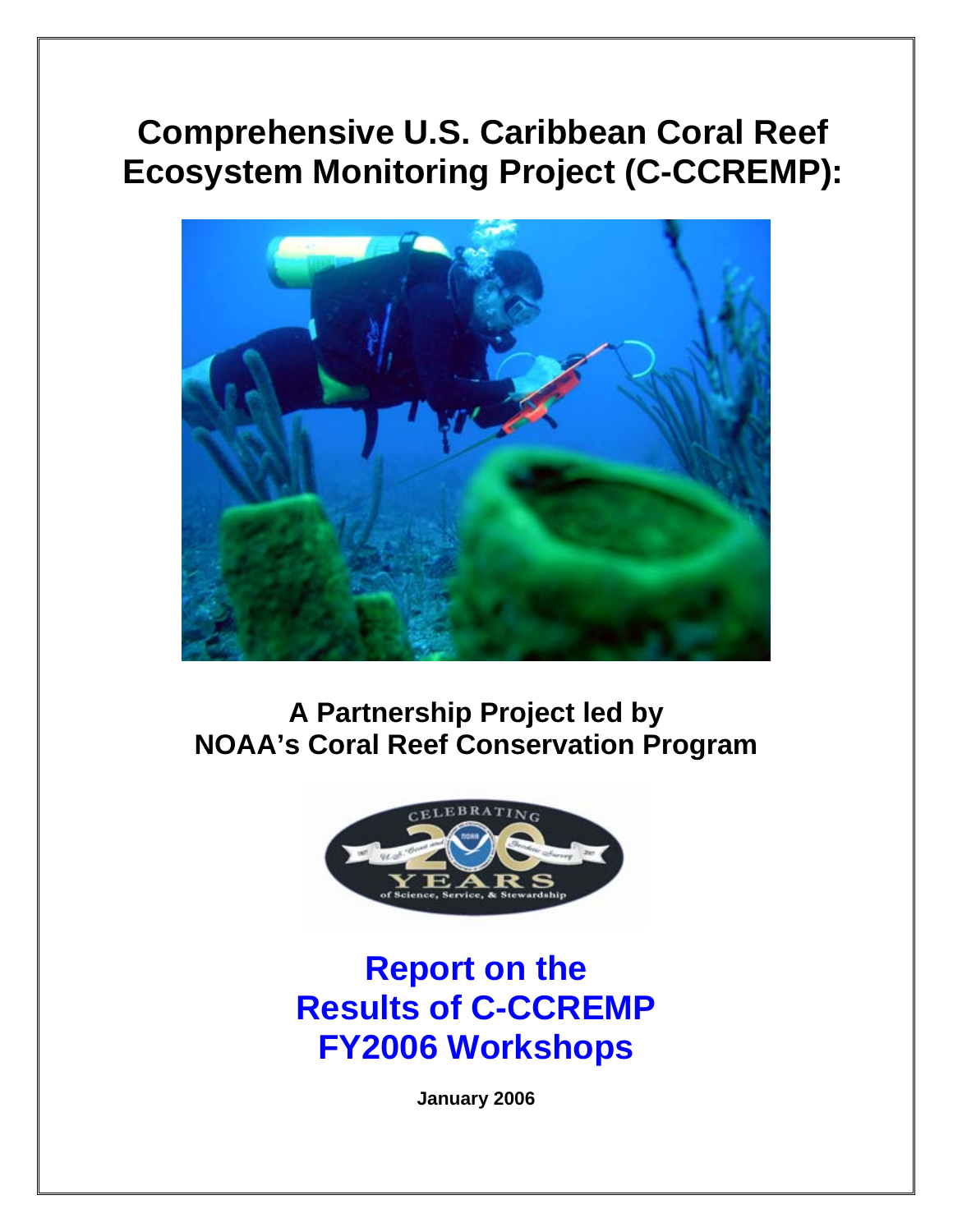# **Comprehensive U.S. Caribbean Coral Reef Ecosystem Monitoring Project (C-CCREMP):**



**A Partnership Project led by NOAA's Coral Reef Conservation Program** 



# **Report on the Results of C-CCREMP FY2006 Workshops**

**January 2006**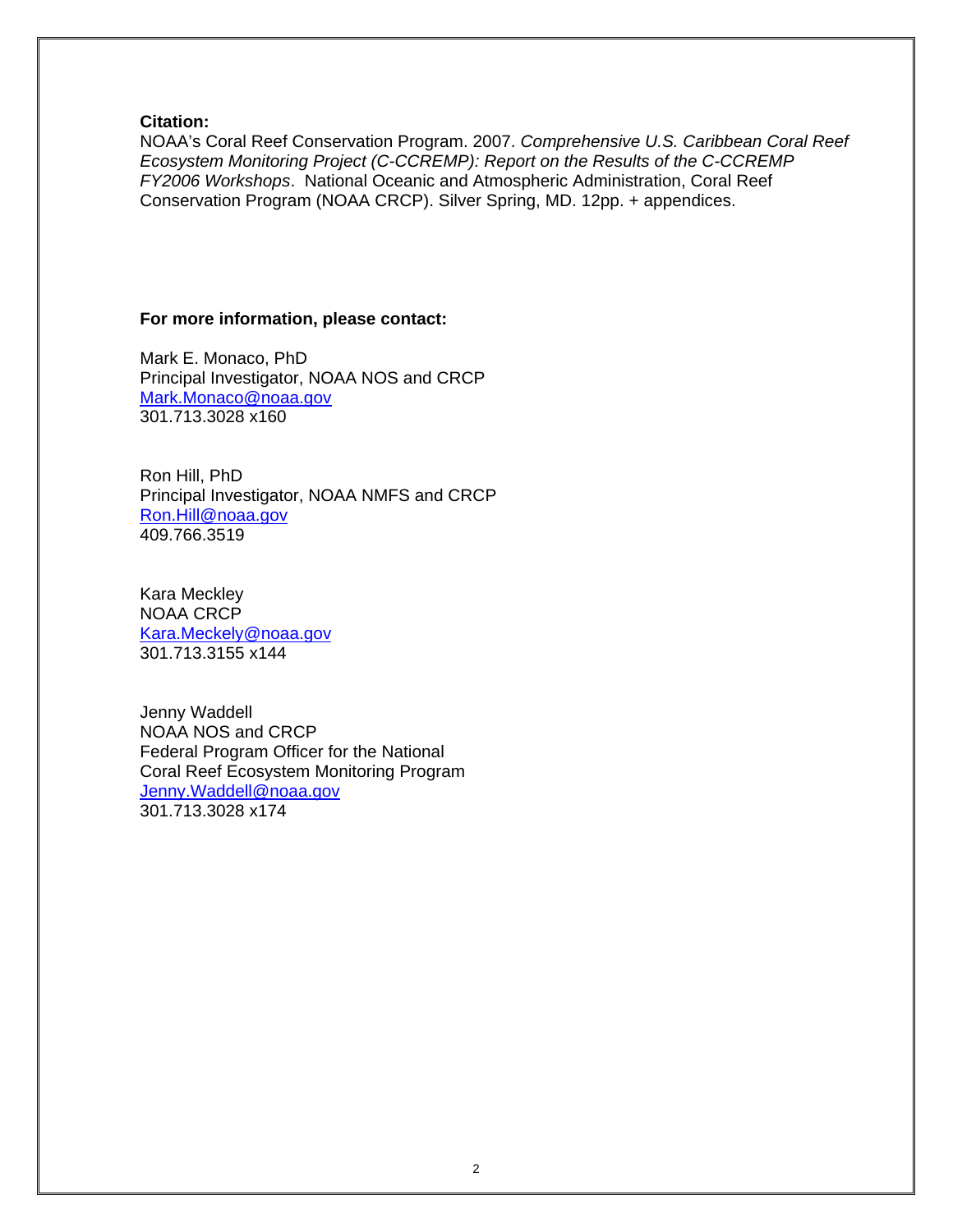# **Citation:**

NOAA's Coral Reef Conservation Program. 2007. *Comprehensive U.S. Caribbean Coral Reef Ecosystem Monitoring Project (C-CCREMP): Report on the Results of the C-CCREMP FY2006 Workshops*. National Oceanic and Atmospheric Administration, Coral Reef Conservation Program (NOAA CRCP). Silver Spring, MD. 12pp. + appendices.

# **For more information, please contact:**

Mark E. Monaco, PhD Principal Investigator, NOAA NOS and CRCP [Mark.Monaco@noaa.gov](mailto:Mark.Monaco@noaa.gov) 301.713.3028 x160

Ron Hill, PhD Principal Investigator, NOAA NMFS and CRCP [Ron.Hill@noaa.gov](mailto:Ron.Hill@noaa.gov) 409.766.3519

Kara Meckley NOAA CRCP [Kara.Meckely@noaa.gov](mailto:Kara.Meckely@noaa.gov) 301.713.3155 x144

Jenny Waddell NOAA NOS and CRCP Federal Program Officer for the National Coral Reef Ecosystem Monitoring Program [Jenny.Waddell@noaa.gov](mailto:Jenny.Waddell@noaa.gov) 301.713.3028 x174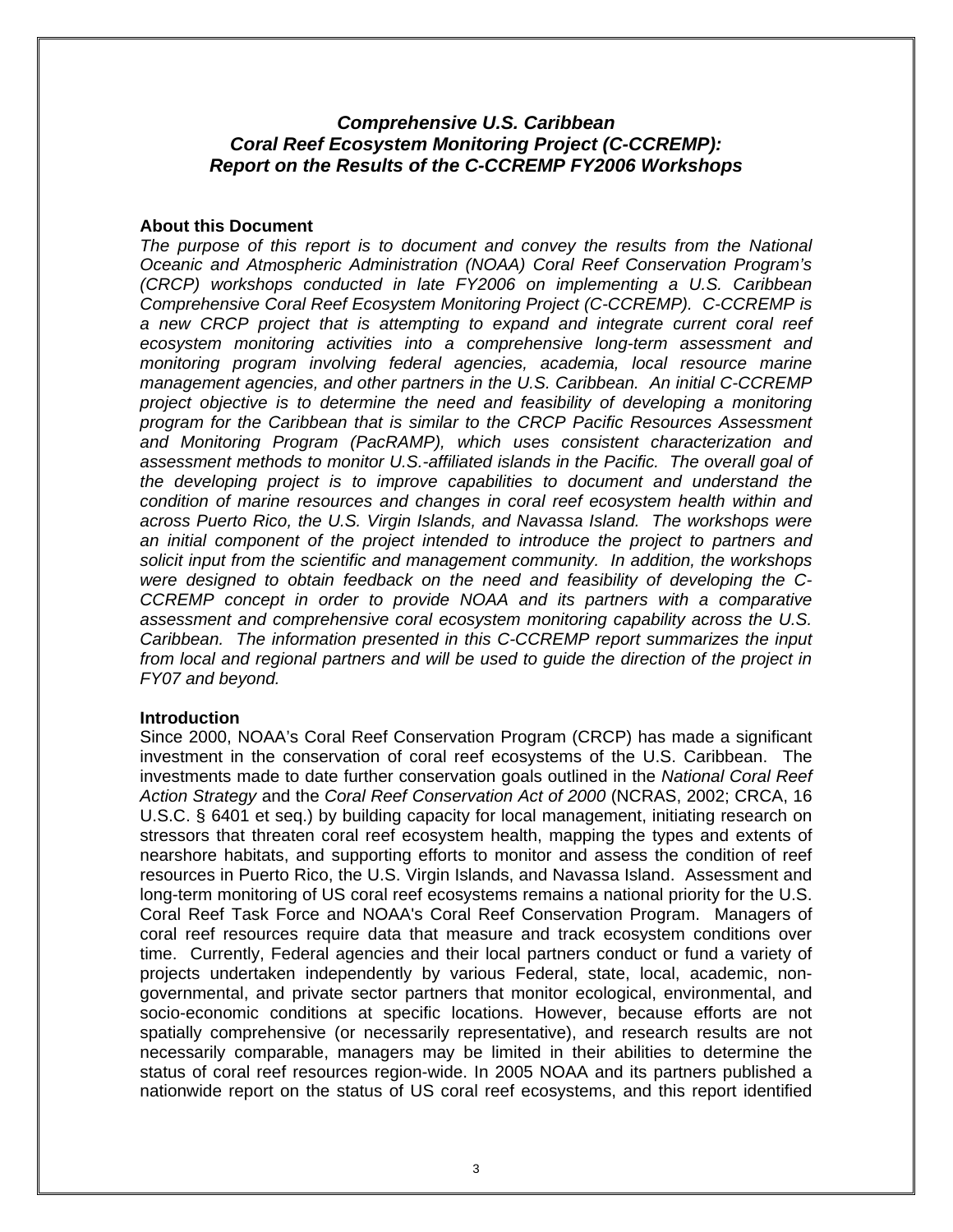# *Comprehensive U.S. Caribbean Coral Reef Ecosystem Monitoring Project (C-CCREMP): Report on the Results of the C-CCREMP FY2006 Workshops*

### **About this Document**

The purpose of this report is to document and convey the results from the National *Oceanic and Atmospheric Administration (NOAA) Coral Reef Conservation Program's (CRCP) workshops conducted in late FY2006 on implementing a U.S. Caribbean Comprehensive Coral Reef Ecosystem Monitoring Project (C-CCREMP). C-CCREMP is a new CRCP project that is attempting to expand and integrate current coral reef ecosystem monitoring activities into a comprehensive long-term assessment and monitoring program involving federal agencies, academia, local resource marine management agencies, and other partners in the U.S. Caribbean. An initial C-CCREMP project objective is to determine the need and feasibility of developing a monitoring program for the Caribbean that is similar to the CRCP Pacific Resources Assessment and Monitoring Program (PacRAMP), which uses consistent characterization and assessment methods to monitor U.S.-affiliated islands in the Pacific. The overall goal of the developing project is to improve capabilities to document and understand the condition of marine resources and changes in coral reef ecosystem health within and across Puerto Rico, the U.S. Virgin Islands, and Navassa Island. The workshops were an initial component of the project intended to introduce the project to partners and solicit input from the scientific and management community. In addition, the workshops were designed to obtain feedback on the need and feasibility of developing the C-CCREMP concept in order to provide NOAA and its partners with a comparative assessment and comprehensive coral ecosystem monitoring capability across the U.S. Caribbean. The information presented in this C-CCREMP report summarizes the input from local and regional partners and will be used to guide the direction of the project in FY07 and beyond.* 

# **Introduction**

Since 2000, NOAA's Coral Reef Conservation Program (CRCP) has made a significant investment in the conservation of coral reef ecosystems of the U.S. Caribbean. The investments made to date further conservation goals outlined in the *National Coral Reef Action Strategy* and the *Coral Reef Conservation Act of 2000* (NCRAS, 2002; CRCA, 16 U.S.C. § 6401 et seq.) by building capacity for local management, initiating research on stressors that threaten coral reef ecosystem health, mapping the types and extents of nearshore habitats, and supporting efforts to monitor and assess the condition of reef resources in Puerto Rico, the U.S. Virgin Islands, and Navassa Island. Assessment and long-term monitoring of US coral reef ecosystems remains a national priority for the U.S. Coral Reef Task Force and NOAA's Coral Reef Conservation Program. Managers of coral reef resources require data that measure and track ecosystem conditions over time. Currently, Federal agencies and their local partners conduct or fund a variety of projects undertaken independently by various Federal, state, local, academic, nongovernmental, and private sector partners that monitor ecological, environmental, and socio-economic conditions at specific locations. However, because efforts are not spatially comprehensive (or necessarily representative), and research results are not necessarily comparable, managers may be limited in their abilities to determine the status of coral reef resources region-wide. In 2005 NOAA and its partners published a nationwide report on the status of US coral reef ecosystems, and this report identified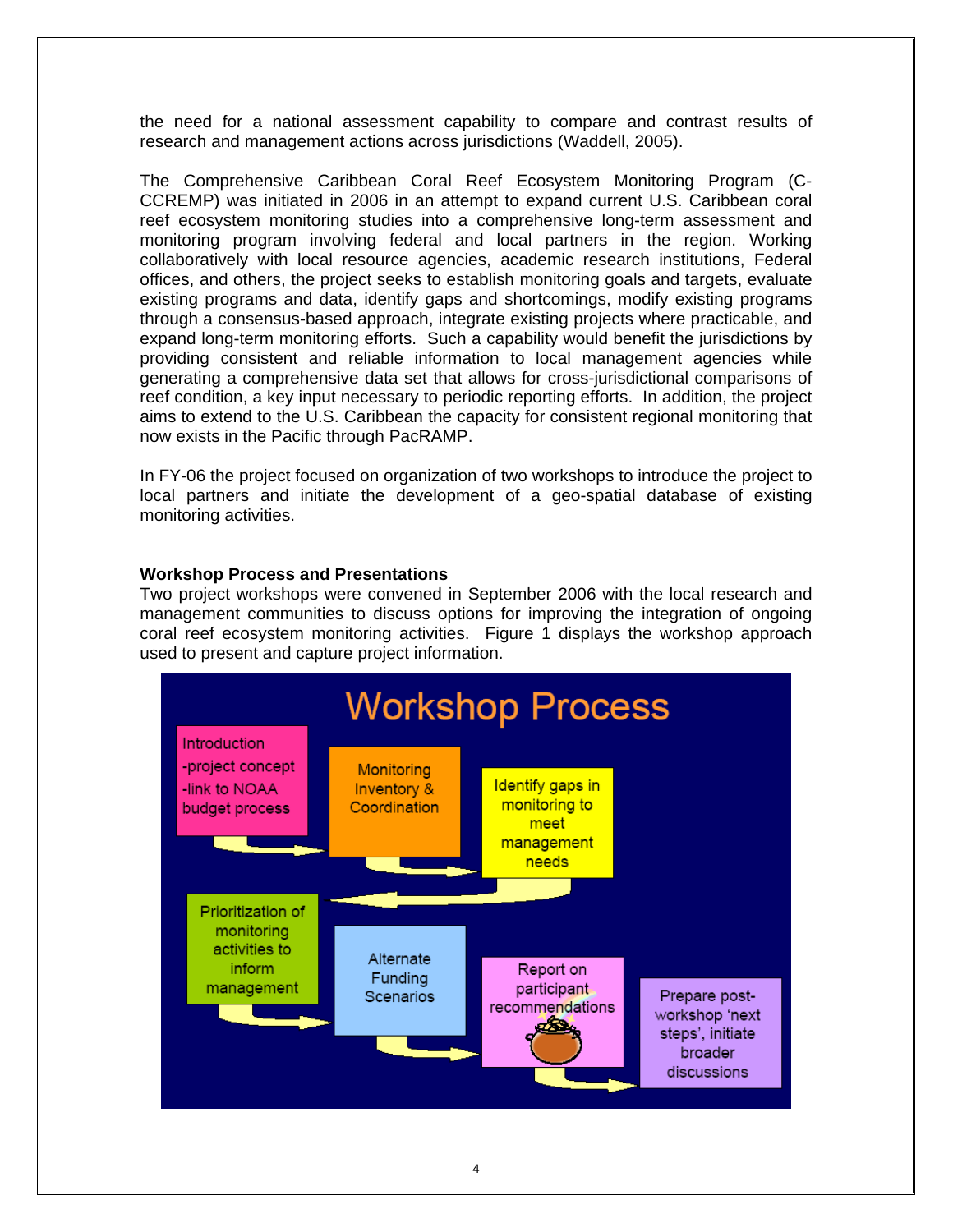the need for a national assessment capability to compare and contrast results of research and management actions across jurisdictions (Waddell, 2005).

The Comprehensive Caribbean Coral Reef Ecosystem Monitoring Program (C-CCREMP) was initiated in 2006 in an attempt to expand current U.S. Caribbean coral reef ecosystem monitoring studies into a comprehensive long-term assessment and monitoring program involving federal and local partners in the region. Working collaboratively with local resource agencies, academic research institutions, Federal offices, and others, the project seeks to establish monitoring goals and targets, evaluate existing programs and data, identify gaps and shortcomings, modify existing programs through a consensus-based approach, integrate existing projects where practicable, and expand long-term monitoring efforts. Such a capability would benefit the jurisdictions by providing consistent and reliable information to local management agencies while generating a comprehensive data set that allows for cross-jurisdictional comparisons of reef condition, a key input necessary to periodic reporting efforts. In addition, the project aims to extend to the U.S. Caribbean the capacity for consistent regional monitoring that now exists in the Pacific through PacRAMP.

In FY-06 the project focused on organization of two workshops to introduce the project to local partners and initiate the development of a geo-spatial database of existing monitoring activities.

# **Workshop Process and Presentations**

Two project workshops were convened in September 2006 with the local research and management communities to discuss options for improving the integration of ongoing coral reef ecosystem monitoring activities. Figure 1 displays the workshop approach used to present and capture project information.

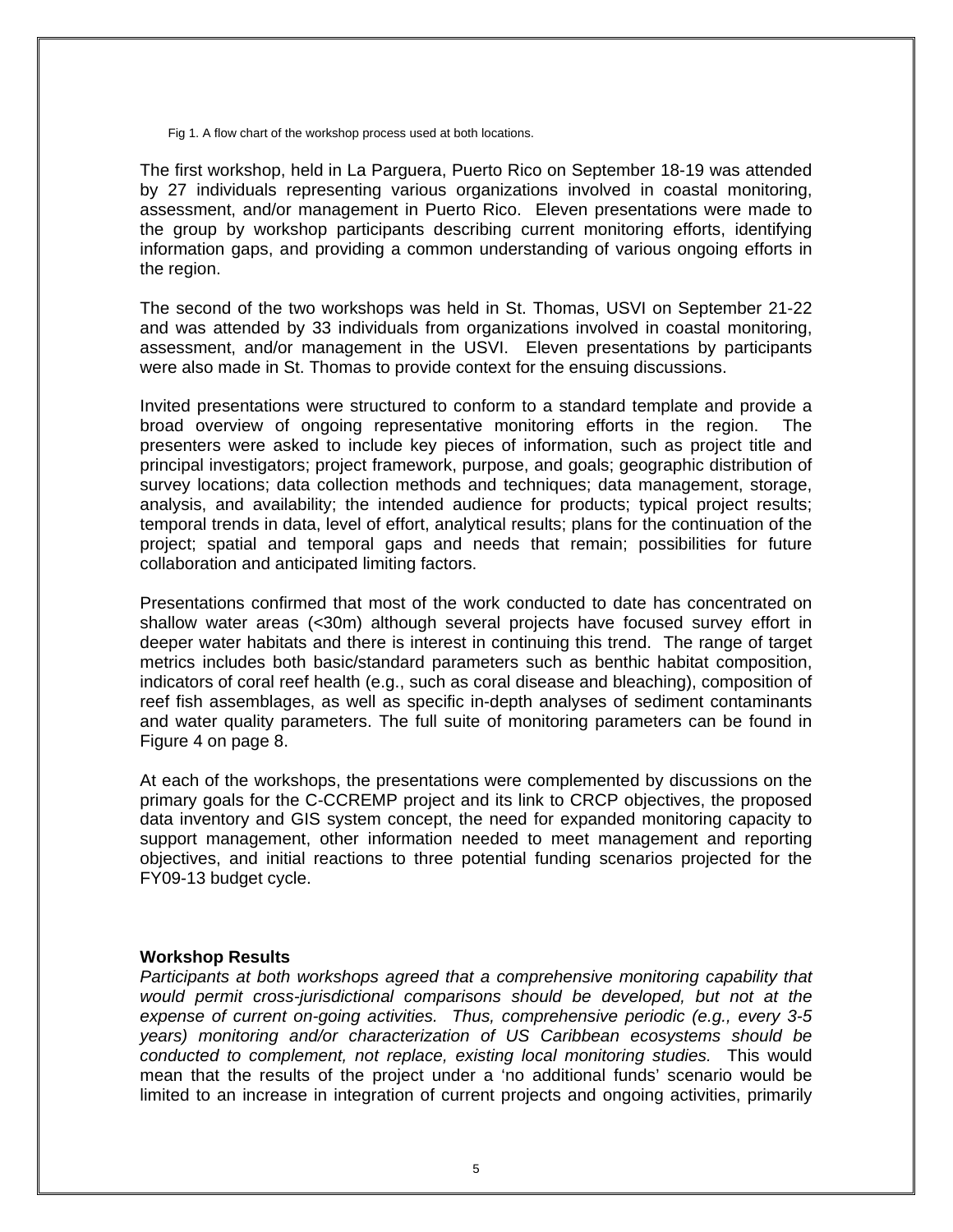Fig 1. A flow chart of the workshop process used at both locations.

The first workshop, held in La Parguera, Puerto Rico on September 18-19 was attended by 27 individuals representing various organizations involved in coastal monitoring, assessment, and/or management in Puerto Rico. Eleven presentations were made to the group by workshop participants describing current monitoring efforts, identifying information gaps, and providing a common understanding of various ongoing efforts in the region.

The second of the two workshops was held in St. Thomas, USVI on September 21-22 and was attended by 33 individuals from organizations involved in coastal monitoring, assessment, and/or management in the USVI. Eleven presentations by participants were also made in St. Thomas to provide context for the ensuing discussions.

Invited presentations were structured to conform to a standard template and provide a broad overview of ongoing representative monitoring efforts in the region. The presenters were asked to include key pieces of information, such as project title and principal investigators; project framework, purpose, and goals; geographic distribution of survey locations; data collection methods and techniques; data management, storage, analysis, and availability; the intended audience for products; typical project results; temporal trends in data, level of effort, analytical results; plans for the continuation of the project; spatial and temporal gaps and needs that remain; possibilities for future collaboration and anticipated limiting factors.

Presentations confirmed that most of the work conducted to date has concentrated on shallow water areas (<30m) although several projects have focused survey effort in deeper water habitats and there is interest in continuing this trend. The range of target metrics includes both basic/standard parameters such as benthic habitat composition, indicators of coral reef health (e.g., such as coral disease and bleaching), composition of reef fish assemblages, as well as specific in-depth analyses of sediment contaminants and water quality parameters. The full suite of monitoring parameters can be found in Figure 4 on page 8.

At each of the workshops, the presentations were complemented by discussions on the primary goals for the C-CCREMP project and its link to CRCP objectives, the proposed data inventory and GIS system concept, the need for expanded monitoring capacity to support management, other information needed to meet management and reporting objectives, and initial reactions to three potential funding scenarios projected for the FY09-13 budget cycle.

# **Workshop Results**

*Participants at both workshops agreed that a comprehensive monitoring capability that would permit cross-jurisdictional comparisons should be developed, but not at the expense of current on-going activities. Thus, comprehensive periodic (e.g., every 3-5 years) monitoring and/or characterization of US Caribbean ecosystems should be conducted to complement, not replace, existing local monitoring studies.* This would mean that the results of the project under a 'no additional funds' scenario would be limited to an increase in integration of current projects and ongoing activities, primarily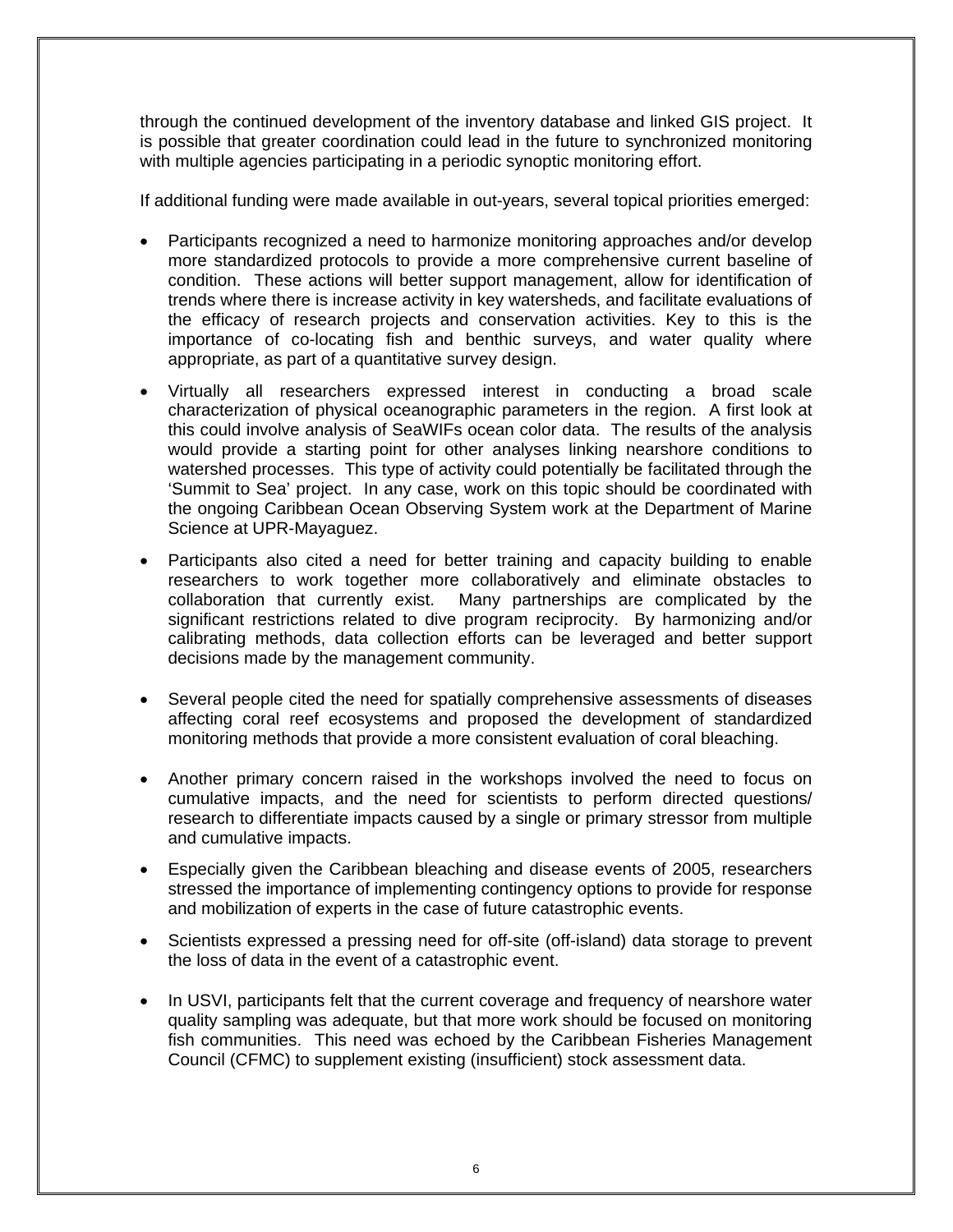through the continued development of the inventory database and linked GIS project. It is possible that greater coordination could lead in the future to synchronized monitoring with multiple agencies participating in a periodic synoptic monitoring effort.

If additional funding were made available in out-years, several topical priorities emerged:

- Participants recognized a need to harmonize monitoring approaches and/or develop more standardized protocols to provide a more comprehensive current baseline of condition. These actions will better support management, allow for identification of trends where there is increase activity in key watersheds, and facilitate evaluations of the efficacy of research projects and conservation activities. Key to this is the importance of co-locating fish and benthic surveys, and water quality where appropriate, as part of a quantitative survey design.
- Virtually all researchers expressed interest in conducting a broad scale characterization of physical oceanographic parameters in the region. A first look at this could involve analysis of SeaWIFs ocean color data. The results of the analysis would provide a starting point for other analyses linking nearshore conditions to watershed processes. This type of activity could potentially be facilitated through the 'Summit to Sea' project. In any case, work on this topic should be coordinated with the ongoing Caribbean Ocean Observing System work at the Department of Marine Science at UPR-Mayaguez.
- Participants also cited a need for better training and capacity building to enable researchers to work together more collaboratively and eliminate obstacles to collaboration that currently exist. Many partnerships are complicated by the significant restrictions related to dive program reciprocity. By harmonizing and/or calibrating methods, data collection efforts can be leveraged and better support decisions made by the management community.
- Several people cited the need for spatially comprehensive assessments of diseases affecting coral reef ecosystems and proposed the development of standardized monitoring methods that provide a more consistent evaluation of coral bleaching.
- Another primary concern raised in the workshops involved the need to focus on cumulative impacts, and the need for scientists to perform directed questions/ research to differentiate impacts caused by a single or primary stressor from multiple and cumulative impacts.
- Especially given the Caribbean bleaching and disease events of 2005, researchers stressed the importance of implementing contingency options to provide for response and mobilization of experts in the case of future catastrophic events.
- Scientists expressed a pressing need for off-site (off-island) data storage to prevent the loss of data in the event of a catastrophic event.
- In USVI, participants felt that the current coverage and frequency of nearshore water quality sampling was adequate, but that more work should be focused on monitoring fish communities. This need was echoed by the Caribbean Fisheries Management Council (CFMC) to supplement existing (insufficient) stock assessment data.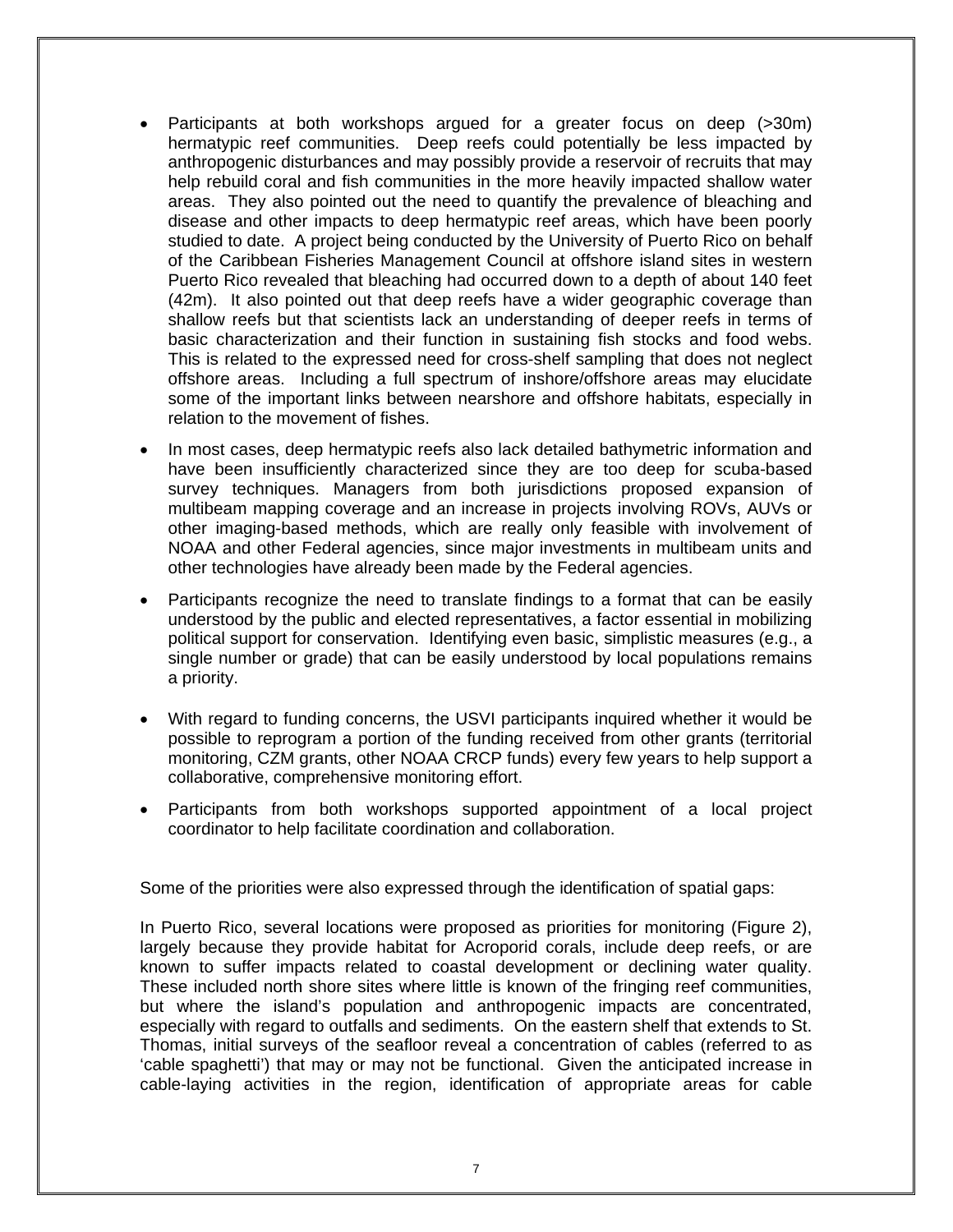- Participants at both workshops argued for a greater focus on deep (>30m) hermatypic reef communities. Deep reefs could potentially be less impacted by anthropogenic disturbances and may possibly provide a reservoir of recruits that may help rebuild coral and fish communities in the more heavily impacted shallow water areas. They also pointed out the need to quantify the prevalence of bleaching and disease and other impacts to deep hermatypic reef areas, which have been poorly studied to date. A project being conducted by the University of Puerto Rico on behalf of the Caribbean Fisheries Management Council at offshore island sites in western Puerto Rico revealed that bleaching had occurred down to a depth of about 140 feet (42m). It also pointed out that deep reefs have a wider geographic coverage than shallow reefs but that scientists lack an understanding of deeper reefs in terms of basic characterization and their function in sustaining fish stocks and food webs. This is related to the expressed need for cross-shelf sampling that does not neglect offshore areas. Including a full spectrum of inshore/offshore areas may elucidate some of the important links between nearshore and offshore habitats, especially in relation to the movement of fishes.
- In most cases, deep hermatypic reefs also lack detailed bathymetric information and have been insufficiently characterized since they are too deep for scuba-based survey techniques. Managers from both jurisdictions proposed expansion of multibeam mapping coverage and an increase in projects involving ROVs, AUVs or other imaging-based methods, which are really only feasible with involvement of NOAA and other Federal agencies, since major investments in multibeam units and other technologies have already been made by the Federal agencies.
- Participants recognize the need to translate findings to a format that can be easily understood by the public and elected representatives, a factor essential in mobilizing political support for conservation. Identifying even basic, simplistic measures (e.g., a single number or grade) that can be easily understood by local populations remains a priority.
- With regard to funding concerns, the USVI participants inquired whether it would be possible to reprogram a portion of the funding received from other grants (territorial monitoring, CZM grants, other NOAA CRCP funds) every few years to help support a collaborative, comprehensive monitoring effort.
- Participants from both workshops supported appointment of a local project coordinator to help facilitate coordination and collaboration.

Some of the priorities were also expressed through the identification of spatial gaps:

In Puerto Rico, several locations were proposed as priorities for monitoring (Figure 2), largely because they provide habitat for Acroporid corals, include deep reefs, or are known to suffer impacts related to coastal development or declining water quality. These included north shore sites where little is known of the fringing reef communities, but where the island's population and anthropogenic impacts are concentrated, especially with regard to outfalls and sediments. On the eastern shelf that extends to St. Thomas, initial surveys of the seafloor reveal a concentration of cables (referred to as 'cable spaghetti') that may or may not be functional. Given the anticipated increase in cable-laying activities in the region, identification of appropriate areas for cable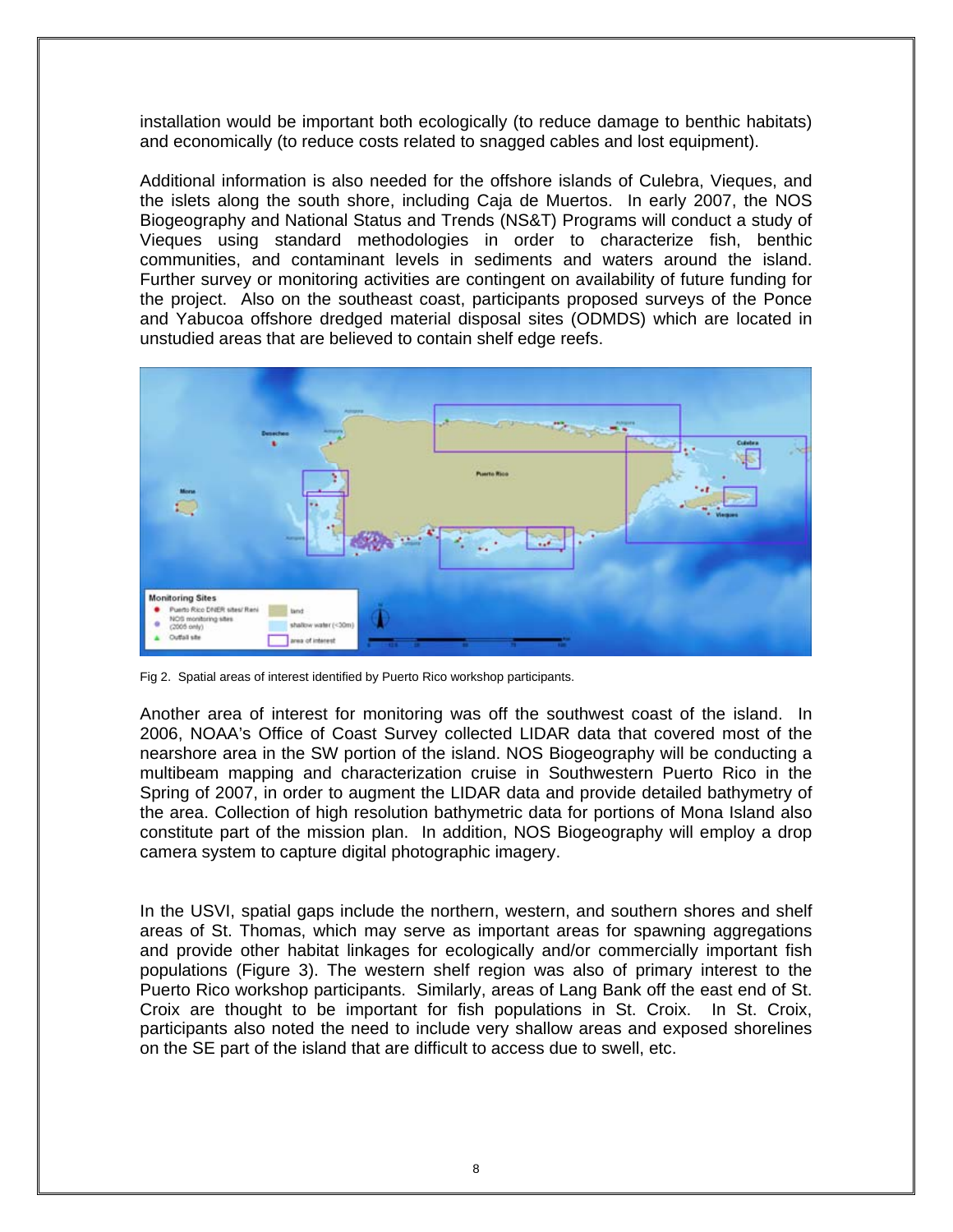installation would be important both ecologically (to reduce damage to benthic habitats) and economically (to reduce costs related to snagged cables and lost equipment).

Additional information is also needed for the offshore islands of Culebra, Vieques, and the islets along the south shore, including Caja de Muertos. In early 2007, the NOS Biogeography and National Status and Trends (NS&T) Programs will conduct a study of Vieques using standard methodologies in order to characterize fish, benthic communities, and contaminant levels in sediments and waters around the island. Further survey or monitoring activities are contingent on availability of future funding for the project. Also on the southeast coast, participants proposed surveys of the Ponce and Yabucoa offshore dredged material disposal sites (ODMDS) which are located in unstudied areas that are believed to contain shelf edge reefs.



Fig 2. Spatial areas of interest identified by Puerto Rico workshop participants.

Another area of interest for monitoring was off the southwest coast of the island. In 2006, NOAA's Office of Coast Survey collected LIDAR data that covered most of the nearshore area in the SW portion of the island. NOS Biogeography will be conducting a multibeam mapping and characterization cruise in Southwestern Puerto Rico in the Spring of 2007, in order to augment the LIDAR data and provide detailed bathymetry of the area. Collection of high resolution bathymetric data for portions of Mona Island also constitute part of the mission plan. In addition, NOS Biogeography will employ a drop camera system to capture digital photographic imagery.

In the USVI, spatial gaps include the northern, western, and southern shores and shelf areas of St. Thomas, which may serve as important areas for spawning aggregations and provide other habitat linkages for ecologically and/or commercially important fish populations (Figure 3). The western shelf region was also of primary interest to the Puerto Rico workshop participants. Similarly, areas of Lang Bank off the east end of St. Croix are thought to be important for fish populations in St. Croix. In St. Croix, participants also noted the need to include very shallow areas and exposed shorelines on the SE part of the island that are difficult to access due to swell, etc.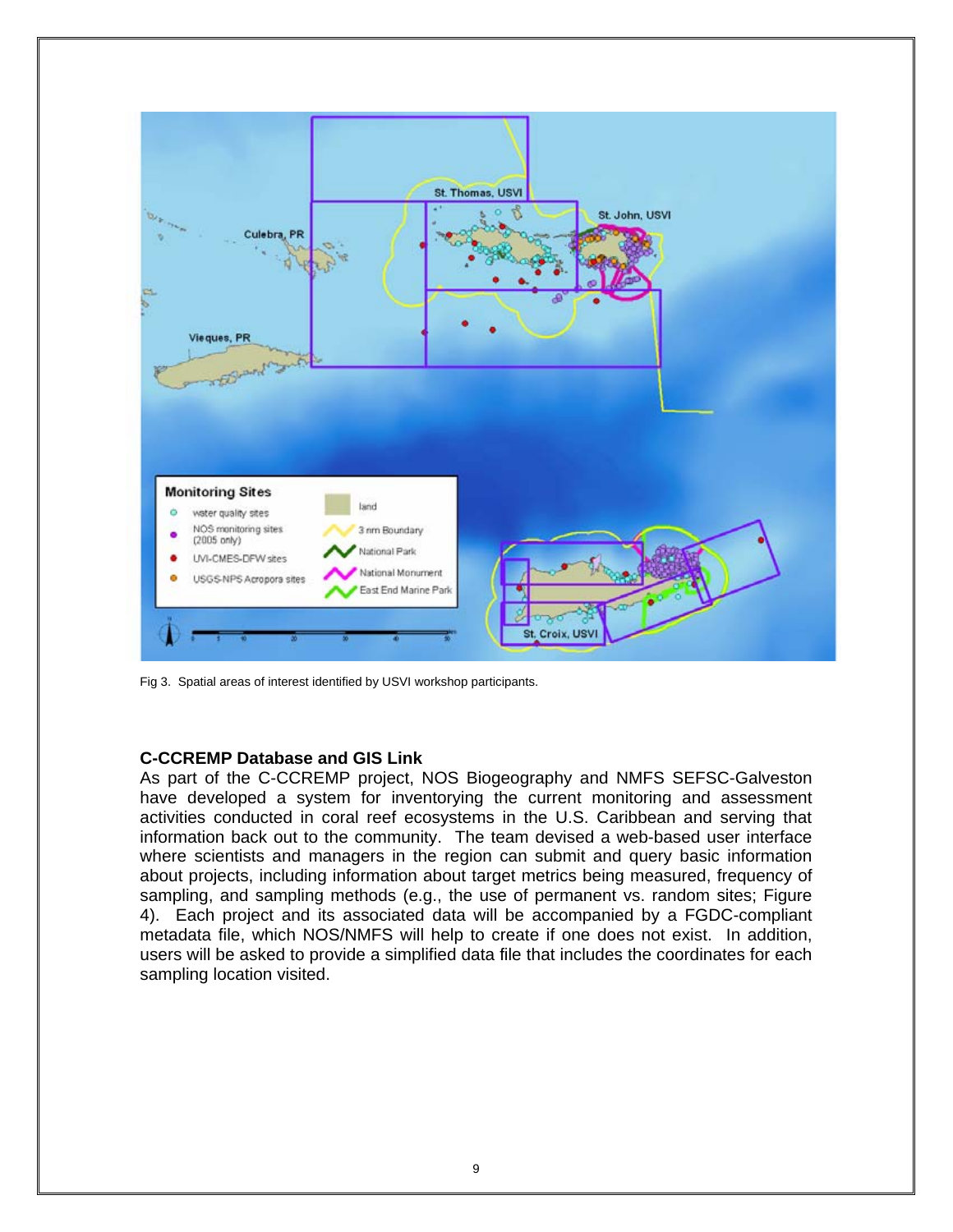

Fig 3. Spatial areas of interest identified by USVI workshop participants.

# **C-CCREMP Database and GIS Link**

As part of the C-CCREMP project, NOS Biogeography and NMFS SEFSC-Galveston have developed a system for inventorying the current monitoring and assessment activities conducted in coral reef ecosystems in the U.S. Caribbean and serving that information back out to the community. The team devised a web-based user interface where scientists and managers in the region can submit and query basic information about projects, including information about target metrics being measured, frequency of sampling, and sampling methods (e.g., the use of permanent vs. random sites; Figure 4). Each project and its associated data will be accompanied by a FGDC-compliant metadata file, which NOS/NMFS will help to create if one does not exist. In addition, users will be asked to provide a simplified data file that includes the coordinates for each sampling location visited.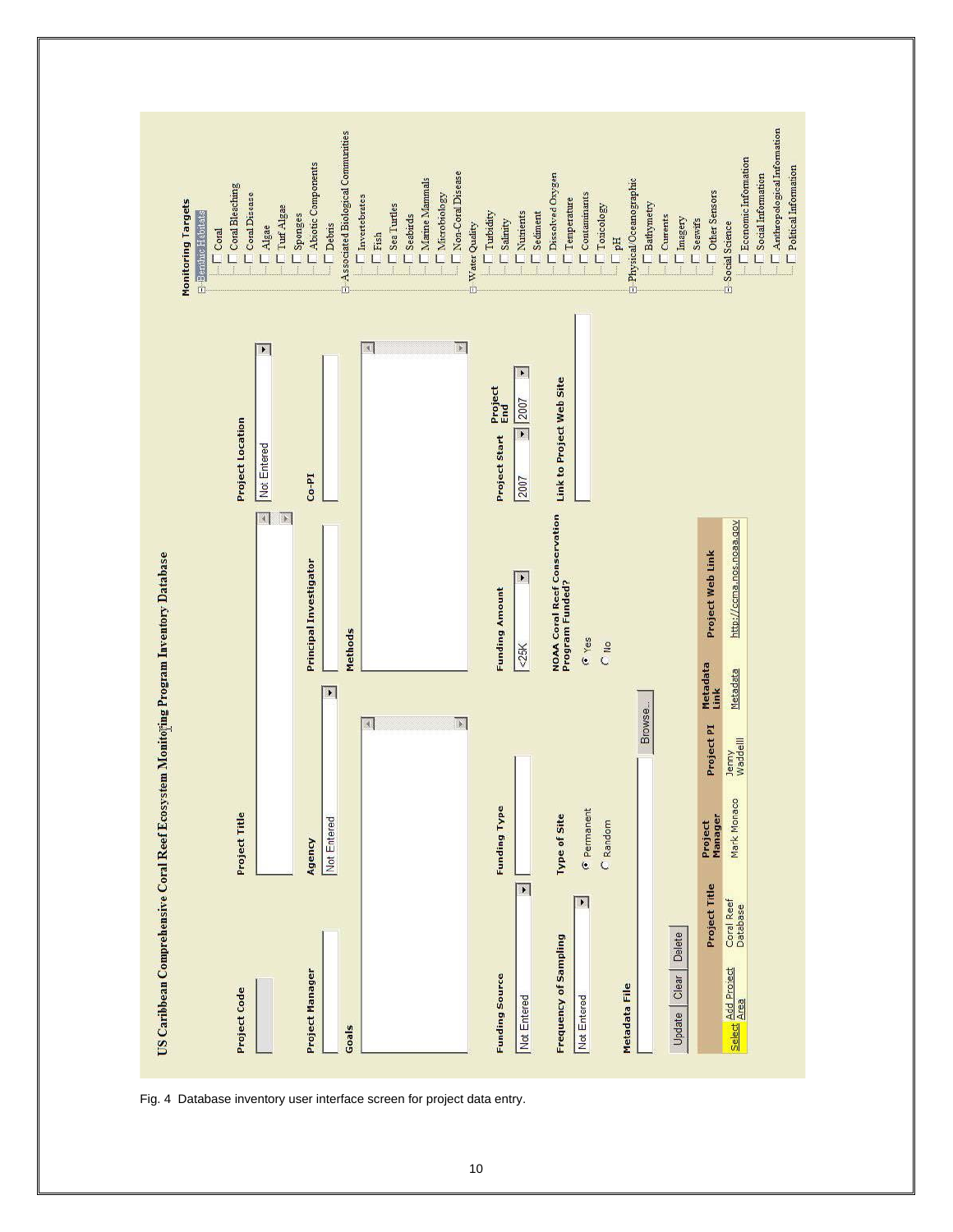

Fig. 4 Database inventory user interface screen for project data entry.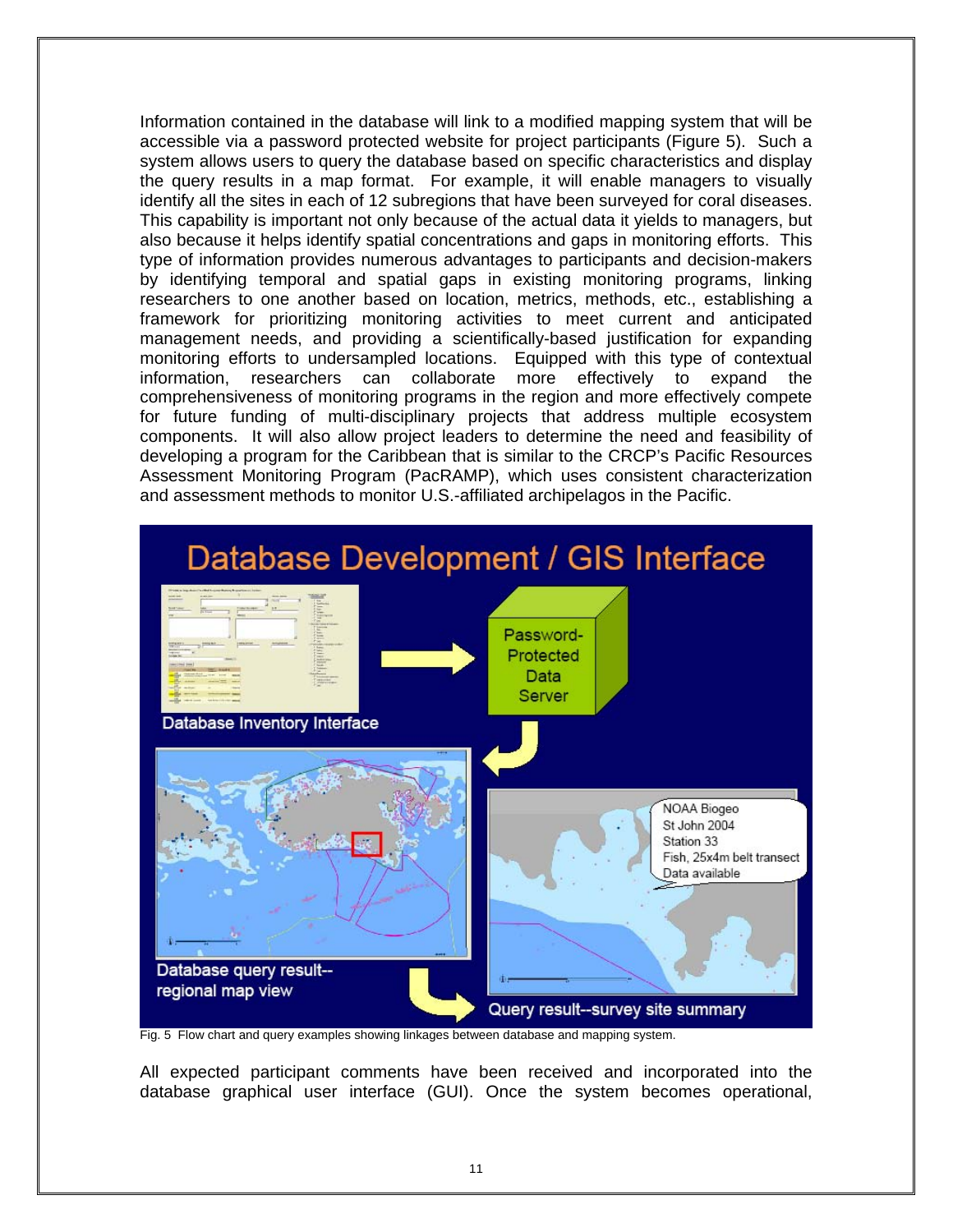Information contained in the database will link to a modified mapping system that will be accessible via a password protected website for project participants (Figure 5). Such a system allows users to query the database based on specific characteristics and display the query results in a map format. For example, it will enable managers to visually identify all the sites in each of 12 subregions that have been surveyed for coral diseases. This capability is important not only because of the actual data it yields to managers, but also because it helps identify spatial concentrations and gaps in monitoring efforts. This type of information provides numerous advantages to participants and decision-makers by identifying temporal and spatial gaps in existing monitoring programs, linking researchers to one another based on location, metrics, methods, etc., establishing a framework for prioritizing monitoring activities to meet current and anticipated management needs, and providing a scientifically-based justification for expanding monitoring efforts to undersampled locations. Equipped with this type of contextual information, researchers can collaborate more effectively to expand the comprehensiveness of monitoring programs in the region and more effectively compete for future funding of multi-disciplinary projects that address multiple ecosystem components. It will also allow project leaders to determine the need and feasibility of developing a program for the Caribbean that is similar to the CRCP's Pacific Resources Assessment Monitoring Program (PacRAMP), which uses consistent characterization and assessment methods to monitor U.S.-affiliated archipelagos in the Pacific.



Fig. 5 Flow chart and query examples showing linkages between database and mapping system.

All expected participant comments have been received and incorporated into the database graphical user interface (GUI). Once the system becomes operational,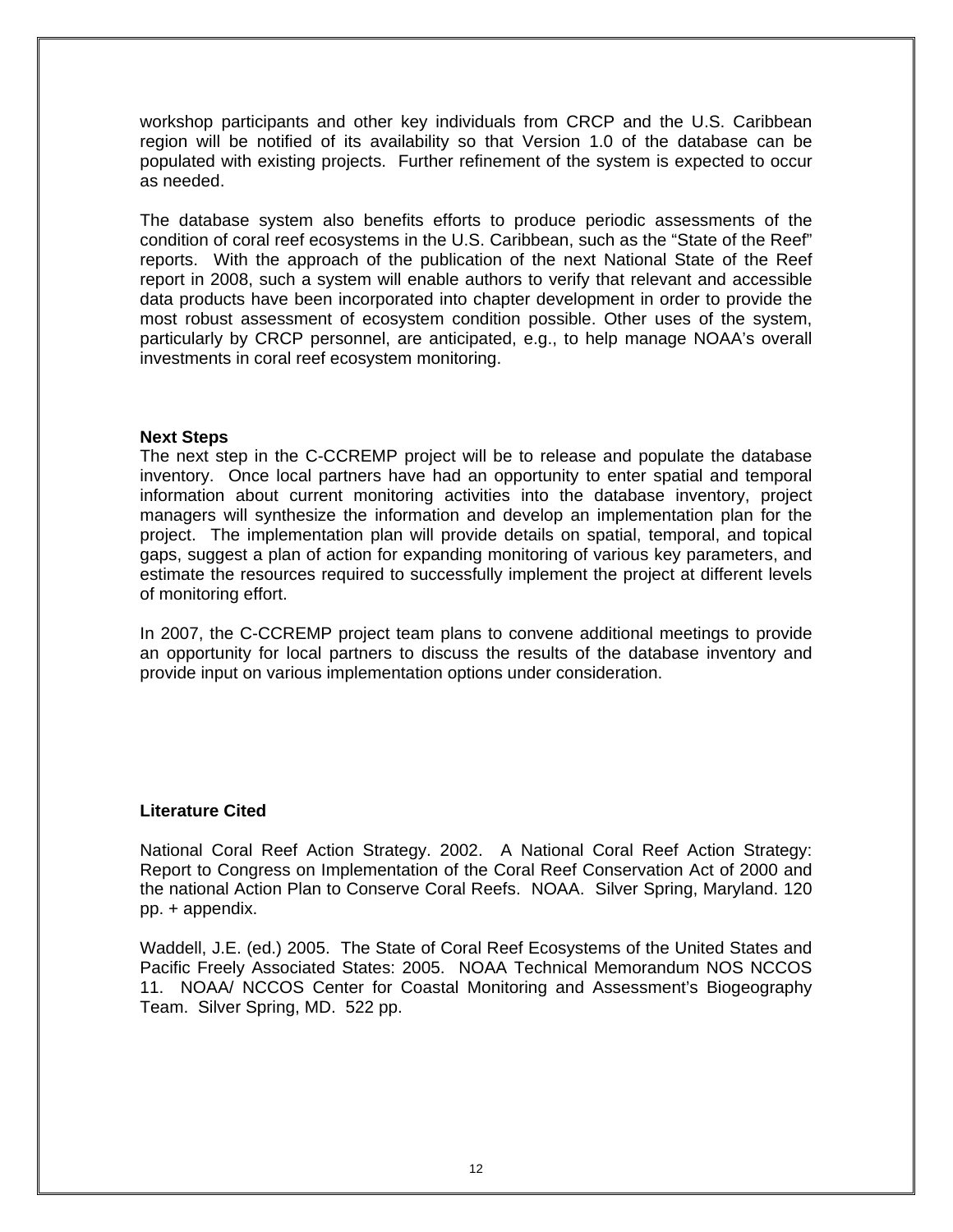workshop participants and other key individuals from CRCP and the U.S. Caribbean region will be notified of its availability so that Version 1.0 of the database can be populated with existing projects. Further refinement of the system is expected to occur as needed.

The database system also benefits efforts to produce periodic assessments of the condition of coral reef ecosystems in the U.S. Caribbean, such as the "State of the Reef" reports. With the approach of the publication of the next National State of the Reef report in 2008, such a system will enable authors to verify that relevant and accessible data products have been incorporated into chapter development in order to provide the most robust assessment of ecosystem condition possible. Other uses of the system, particularly by CRCP personnel, are anticipated, e.g., to help manage NOAA's overall investments in coral reef ecosystem monitoring.

# **Next Steps**

The next step in the C-CCREMP project will be to release and populate the database inventory. Once local partners have had an opportunity to enter spatial and temporal information about current monitoring activities into the database inventory, project managers will synthesize the information and develop an implementation plan for the project. The implementation plan will provide details on spatial, temporal, and topical gaps, suggest a plan of action for expanding monitoring of various key parameters, and estimate the resources required to successfully implement the project at different levels of monitoring effort.

In 2007, the C-CCREMP project team plans to convene additional meetings to provide an opportunity for local partners to discuss the results of the database inventory and provide input on various implementation options under consideration.

# **Literature Cited**

National Coral Reef Action Strategy. 2002. A National Coral Reef Action Strategy: Report to Congress on Implementation of the Coral Reef Conservation Act of 2000 and the national Action Plan to Conserve Coral Reefs. NOAA. Silver Spring, Maryland. 120 pp. + appendix.

Waddell, J.E. (ed.) 2005. The State of Coral Reef Ecosystems of the United States and Pacific Freely Associated States: 2005. NOAA Technical Memorandum NOS NCCOS 11. NOAA/ NCCOS Center for Coastal Monitoring and Assessment's Biogeography Team. Silver Spring, MD. 522 pp.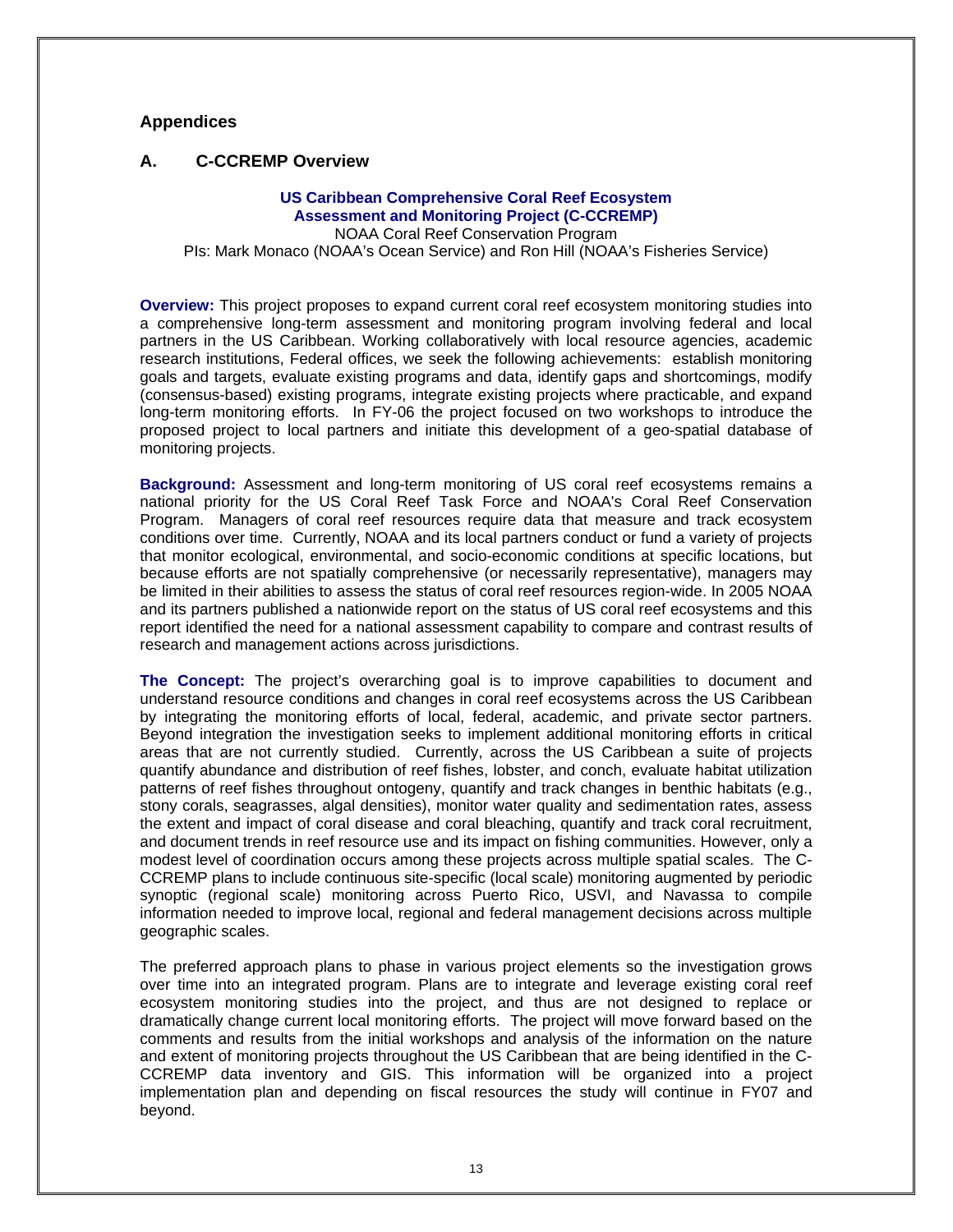# **Appendices**

### **A. C-CCREMP Overview**

#### **US Caribbean Comprehensive Coral Reef Ecosystem Assessment and Monitoring Project (C-CCREMP)**

NOAA Coral Reef Conservation Program PIs: Mark Monaco (NOAA's Ocean Service) and Ron Hill (NOAA's Fisheries Service)

**Overview:** This project proposes to expand current coral reef ecosystem monitoring studies into a comprehensive long-term assessment and monitoring program involving federal and local partners in the US Caribbean. Working collaboratively with local resource agencies, academic research institutions, Federal offices, we seek the following achievements: establish monitoring goals and targets, evaluate existing programs and data, identify gaps and shortcomings, modify (consensus-based) existing programs, integrate existing projects where practicable, and expand long-term monitoring efforts. In FY-06 the project focused on two workshops to introduce the proposed project to local partners and initiate this development of a geo-spatial database of monitoring projects.

**Background:** Assessment and long-term monitoring of US coral reef ecosystems remains a national priority for the US Coral Reef Task Force and NOAA's Coral Reef Conservation Program. Managers of coral reef resources require data that measure and track ecosystem conditions over time. Currently, NOAA and its local partners conduct or fund a variety of projects that monitor ecological, environmental, and socio-economic conditions at specific locations, but because efforts are not spatially comprehensive (or necessarily representative), managers may be limited in their abilities to assess the status of coral reef resources region-wide. In 2005 NOAA and its partners published a nationwide report on the status of US coral reef ecosystems and this report identified the need for a national assessment capability to compare and contrast results of research and management actions across jurisdictions.

**The Concept:** The project's overarching goal is to improve capabilities to document and understand resource conditions and changes in coral reef ecosystems across the US Caribbean by integrating the monitoring efforts of local, federal, academic, and private sector partners. Beyond integration the investigation seeks to implement additional monitoring efforts in critical areas that are not currently studied. Currently, across the US Caribbean a suite of projects quantify abundance and distribution of reef fishes, lobster, and conch, evaluate habitat utilization patterns of reef fishes throughout ontogeny, quantify and track changes in benthic habitats (e.g., stony corals, seagrasses, algal densities), monitor water quality and sedimentation rates, assess the extent and impact of coral disease and coral bleaching, quantify and track coral recruitment, and document trends in reef resource use and its impact on fishing communities. However, only a modest level of coordination occurs among these projects across multiple spatial scales. The C-CCREMP plans to include continuous site-specific (local scale) monitoring augmented by periodic synoptic (regional scale) monitoring across Puerto Rico, USVI, and Navassa to compile information needed to improve local, regional and federal management decisions across multiple geographic scales.

The preferred approach plans to phase in various project elements so the investigation grows over time into an integrated program. Plans are to integrate and leverage existing coral reef ecosystem monitoring studies into the project, and thus are not designed to replace or dramatically change current local monitoring efforts. The project will move forward based on the comments and results from the initial workshops and analysis of the information on the nature and extent of monitoring projects throughout the US Caribbean that are being identified in the C-CCREMP data inventory and GIS. This information will be organized into a project implementation plan and depending on fiscal resources the study will continue in FY07 and beyond.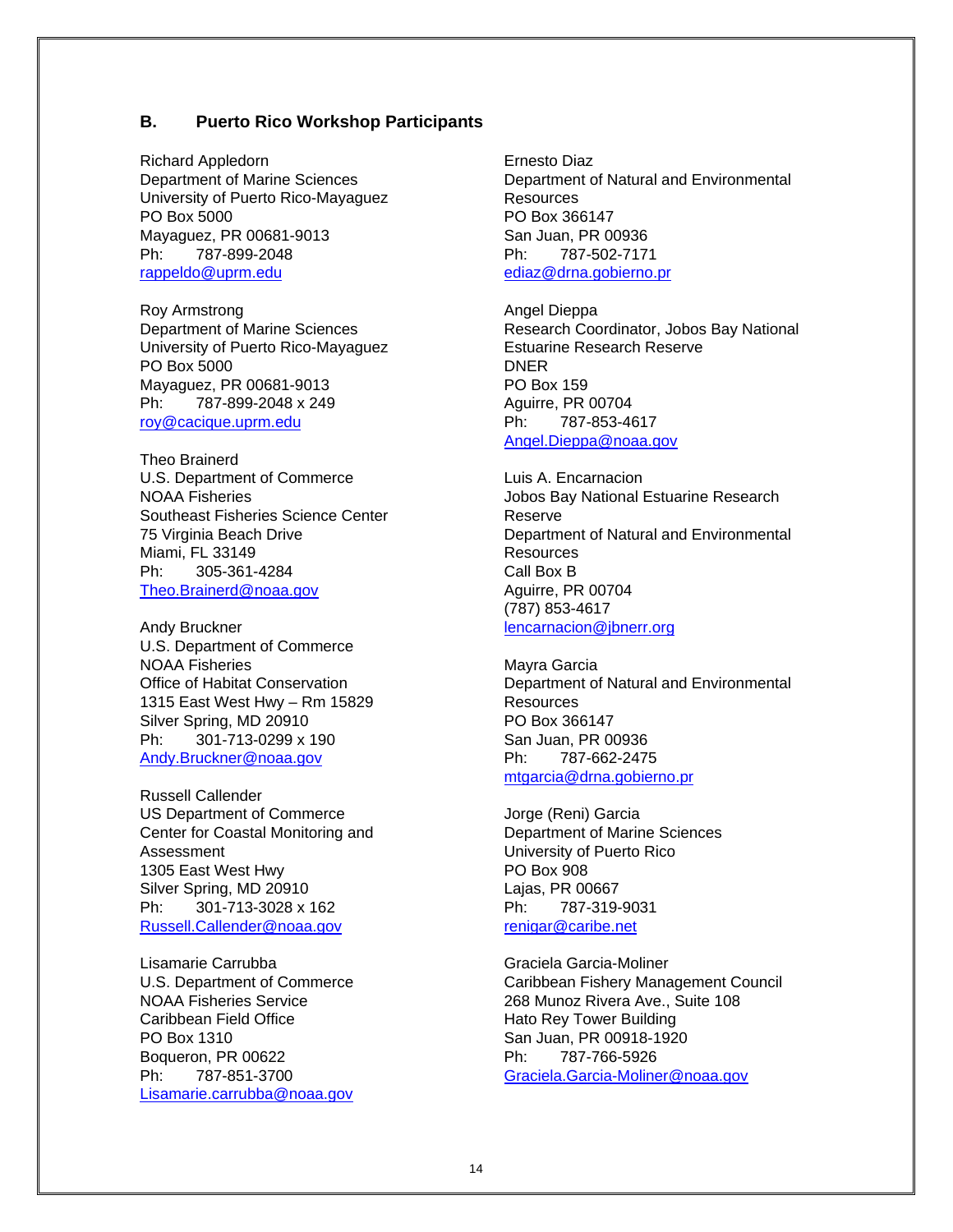# **B. Puerto Rico Workshop Participants**

Richard Appledorn Department of Marine Sciences University of Puerto Rico-Mayaguez PO Box 5000 Mayaguez, PR 00681-9013 Ph: 787-899-2048 [rappeldo@uprm.edu](mailto:rappeldo@uprm.edu)

Roy Armstrong Department of Marine Sciences University of Puerto Rico-Mayaguez PO Box 5000 Mayaguez, PR 00681-9013 Ph: 787-899-2048 x 249 [roy@cacique.uprm.edu](mailto:roy@cacique.uprm.edu)

Theo Brainerd U.S. Department of Commerce NOAA Fisheries Southeast Fisheries Science Center 75 Virginia Beach Drive Miami, FL 33149 Ph: 305-361-4284 [Theo.Brainerd@noaa.gov](mailto:Theo.Brainerd@noaa.gov)

Andy Bruckner U.S. Department of Commerce NOAA Fisheries Office of Habitat Conservation 1315 East West Hwy – Rm 15829 Silver Spring, MD 20910 Ph: 301-713-0299 x 190 [Andy.Bruckner@noaa.gov](mailto:Andy.Bruckner@noaa.gov)

Russell Callender US Department of Commerce Center for Coastal Monitoring and Assessment 1305 East West Hwy Silver Spring, MD 20910 Ph: 301-713-3028 x 162 [Russell.Callender@noaa.gov](mailto:Russell.Callender@noaa.gov)

Lisamarie Carrubba U.S. Department of Commerce NOAA Fisheries Service Caribbean Field Office PO Box 1310 Boqueron, PR 00622 Ph: 787-851-3700 [Lisamarie.carrubba@noaa.gov](mailto:Lisamarie.carrubba@noaa.gov) Ernesto Diaz Department of Natural and Environmental **Resources** PO Box 366147 San Juan, PR 00936 Ph: 787-502-7171 [ediaz@drna.gobierno.pr](mailto:ediaz@drna.gobierno.pr)

Angel Dieppa Research Coordinator, Jobos Bay National Estuarine Research Reserve DNER PO Box 159 Aguirre, PR 00704 Ph: 787-853-4617 [Angel.Dieppa@noaa.gov](mailto:Angel.Dieppa@noaa.gov)

Luis A. Encarnacion Jobos Bay National Estuarine Research Reserve Department of Natural and Environmental Resources Call Box B Aguirre, PR 00704 (787) 853-4617 [lencarnacion@jbnerr.org](mailto:lencarnacion@jbnerr.org)

Mayra Garcia Department of Natural and Environmental **Resources** PO Box 366147 San Juan, PR 00936 Ph: 787-662-2475 [mtgarcia@drna.gobierno.pr](mailto:mtgarcia@drna.gobierno.pr)

Jorge (Reni) Garcia Department of Marine Sciences University of Puerto Rico PO Box 908 Lajas, PR 00667 Ph: 787-319-9031 [renigar@caribe.net](mailto:renigar@caribe.net)

Graciela Garcia-Moliner Caribbean Fishery Management Council 268 Munoz Rivera Ave., Suite 108 Hato Rey Tower Building San Juan, PR 00918-1920 Ph: 787-766-5926 [Graciela.Garcia-Moliner@noaa.gov](mailto:Graciela.Garcia-Moliner@noaa.gov)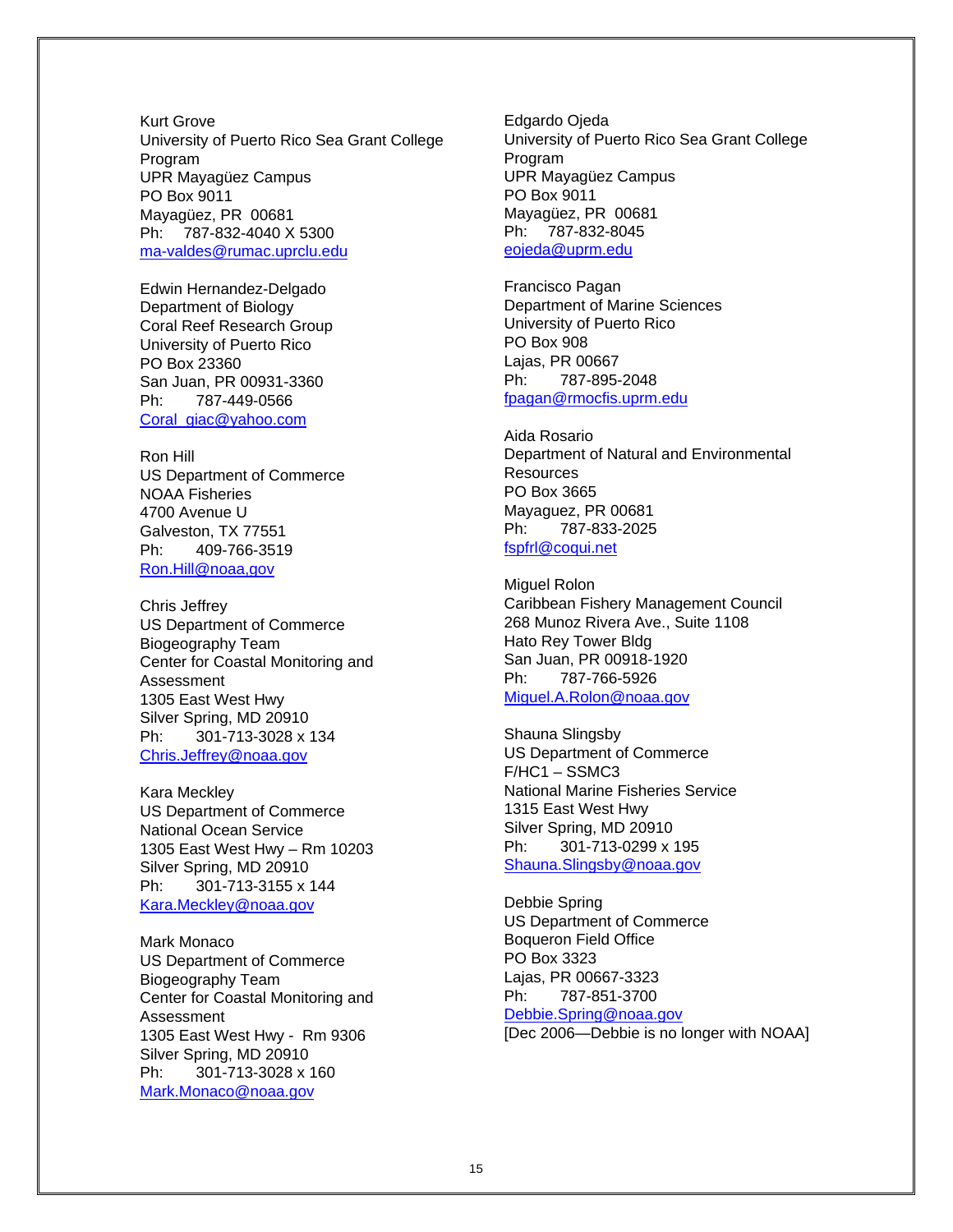Kurt Grove University of Puerto Rico Sea Grant College Program UPR Mayagüez Campus PO Box 9011 Mayagüez, PR 00681 Ph: 787-832-4040 X 5300 [ma-valdes@rumac.uprclu.edu](mailto:ma-valdes@rumac.uprclu.edu)

Edwin Hernandez-Delgado Department of Biology Coral Reef Research Group University of Puerto Rico PO Box 23360 San Juan, PR 00931-3360 Ph: 787-449-0566 [Coral\\_giac@yahoo.com](mailto:Coral_giac@yahoo.com)

Ron Hill US Department of Commerce NOAA Fisheries 4700 Avenue U Galveston, TX 77551 Ph: 409-766-3519 [Ron.Hill@noaa,gov](mailto:Ron.Hill@noaa,gov)

Chris Jeffrey US Department of Commerce Biogeography Team Center for Coastal Monitoring and Assessment 1305 East West Hwy Silver Spring, MD 20910 Ph: 301-713-3028 x 134 [Chris.Jeffrey@noaa.gov](mailto:Chris.Jeffrey@noaa.gov)

Kara Meckley US Department of Commerce National Ocean Service 1305 East West Hwy – Rm 10203 Silver Spring, MD 20910 Ph: 301-713-3155 x 144 [Kara.Meckley@noaa.gov](mailto:Kara.Meckley@noaa.gov)

Mark Monaco US Department of Commerce Biogeography Team Center for Coastal Monitoring and Assessment 1305 East West Hwy - Rm 9306 Silver Spring, MD 20910 Ph: 301-713-3028 x 160 [Mark.Monaco@noaa.gov](mailto:Mark.Monaco@noaa.gov)

Edgardo Ojeda University of Puerto Rico Sea Grant College Program UPR Mayagüez Campus PO Box 9011 Mayagüez, PR 00681 Ph: 787-832-8045 [eojeda@uprm.edu](mailto:eojeda@uprm.edu)

Francisco Pagan Department of Marine Sciences University of Puerto Rico PO Box 908 Lajas, PR 00667 Ph: 787-895-2048 [fpagan@rmocfis.uprm.edu](mailto:fpagan@rmocfis.uprm.edu)

Aida Rosario Department of Natural and Environmental **Resources** PO Box 3665 Mayaguez, PR 00681 Ph: 787-833-2025 [fspfrl@coqui.net](mailto:fspfrl@coqui.net)

Miguel Rolon Caribbean Fishery Management Council 268 Munoz Rivera Ave., Suite 1108 Hato Rey Tower Bldg San Juan, PR 00918-1920 Ph: 787-766-5926 [Miguel.A.Rolon@noaa.gov](mailto:Miguel.A.Rolon@noaa.gov)

Shauna Slingsby US Department of Commerce F/HC1 – SSMC3 National Marine Fisheries Service 1315 East West Hwy Silver Spring, MD 20910 Ph: 301-713-0299 x 195 [Shauna.Slingsby@noaa.gov](mailto:Shauna.Slingsby@noaa.gov)

Debbie Spring US Department of Commerce Boqueron Field Office PO Box 3323 Lajas, PR 00667-3323 Ph: 787-851-3700 [Debbie.Spring@noaa.gov](mailto:Debbie.Spring@noaa.gov) [Dec 2006—Debbie is no longer with NOAA]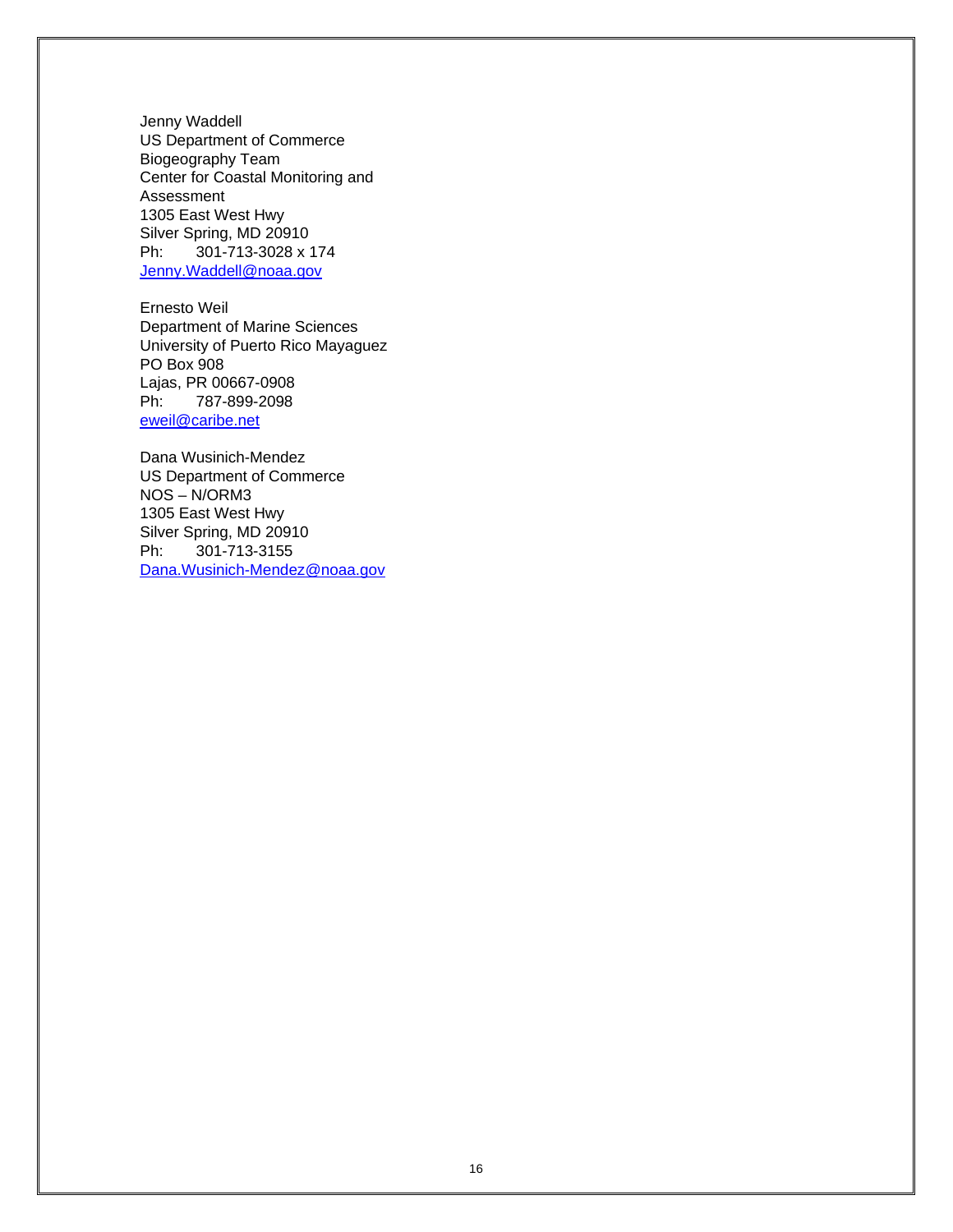Jenny Waddell US Department of Commerce Biogeography Team Center for Coastal Monitoring and Assessment 1305 East West Hwy Silver Spring, MD 20910 Ph: 301-713-3028 x 174 [Jenny.Waddell@noaa.gov](mailto:Jenny.Waddell@noaa.gov)

Ernesto Weil Department of Marine Sciences University of Puerto Rico Mayaguez PO Box 908 Lajas, PR 00667-0908 Ph: 787-899-2098 [eweil@caribe.net](mailto:eweil@caribe.net)

Dana Wusinich-Mendez US Department of Commerce NOS – N/ORM3 1305 East West Hwy Silver Spring, MD 20910 Ph: 301-713-3155 [Dana.Wusinich-Mendez@noaa.gov](mailto:Dana.Wusinich-Mendez@noaa.gov)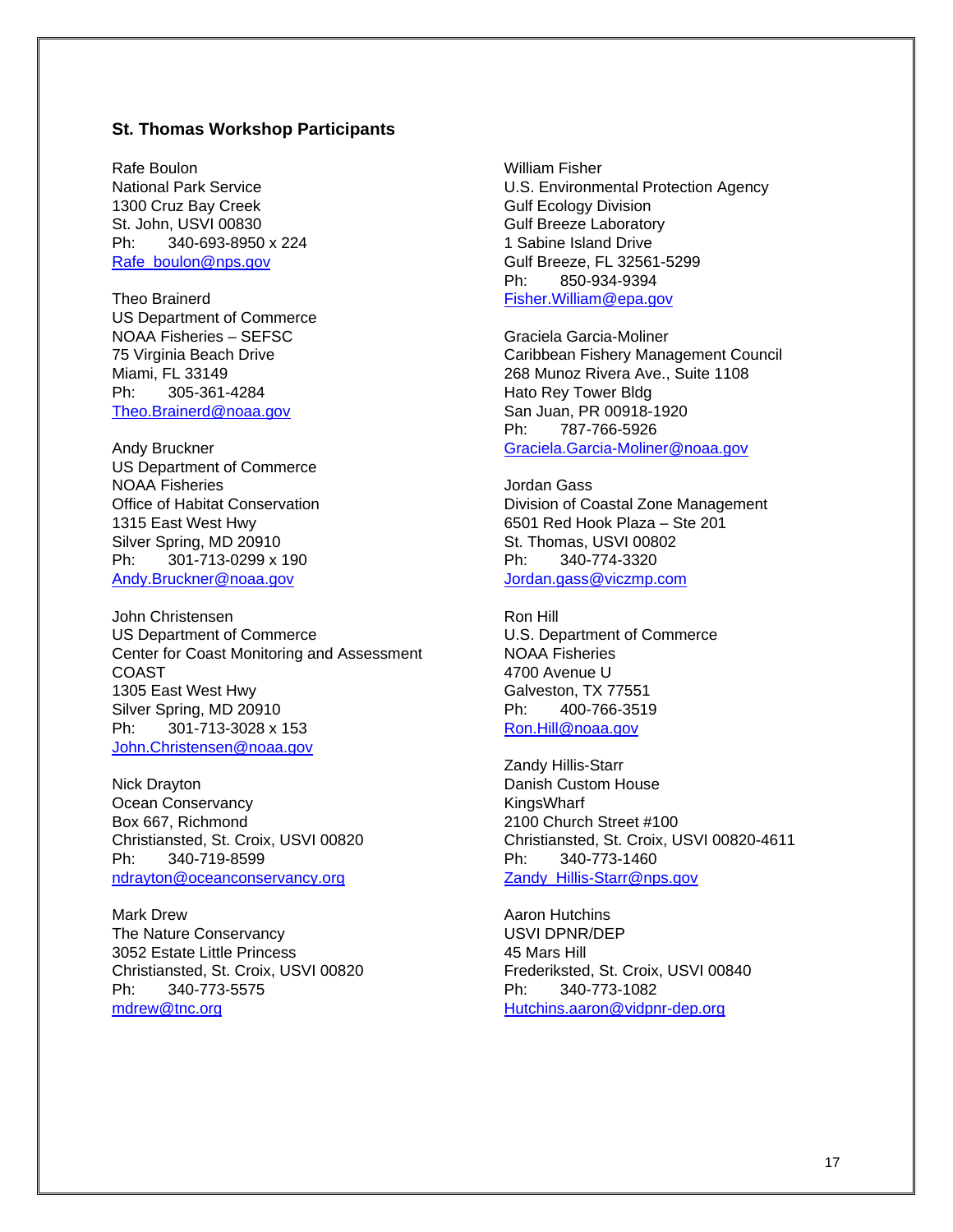### **St. Thomas Workshop Participants**

Rafe Boulon National Park Service 1300 Cruz Bay Creek St. John, USVI 00830 Ph: 340-693-8950 x 224 [Rafe\\_boulon@nps.gov](mailto:Rafe_boulon@nps.gov)

Theo Brainerd US Department of Commerce NOAA Fisheries – SEFSC 75 Virginia Beach Drive Miami, FL 33149 Ph: 305-361-4284 [Theo.Brainerd@noaa.gov](mailto:Theo.Brainerd@noaa.gov)

Andy Bruckner US Department of Commerce NOAA Fisheries Office of Habitat Conservation 1315 East West Hwy Silver Spring, MD 20910 Ph: 301-713-0299 x 190 [Andy.Bruckner@noaa.gov](mailto:Andy.Bruckner@noaa.gov)

John Christensen US Department of Commerce Center for Coast Monitoring and Assessment COAST 1305 East West Hwy Silver Spring, MD 20910 Ph: 301-713-3028 x 153 [John.Christensen@noaa.gov](mailto:John.Christensen@noaa.gov)

Nick Drayton Ocean Conservancy Box 667, Richmond Christiansted, St. Croix, USVI 00820 Ph: 340-719-8599 [ndrayton@oceanconservancy.org](mailto:ndrayton@oceanconservancy.org)

Mark Drew The Nature Conservancy 3052 Estate Little Princess Christiansted, St. Croix, USVI 00820 Ph: 340-773-5575 [mdrew@tnc.org](mailto:mdrew@tnc.org)

William Fisher U.S. Environmental Protection Agency Gulf Ecology Division Gulf Breeze Laboratory 1 Sabine Island Drive Gulf Breeze, FL 32561-5299 Ph: 850-934-9394 [Fisher.William@epa.gov](mailto:Fisher.William@epa.gov)

Graciela Garcia-Moliner Caribbean Fishery Management Council 268 Munoz Rivera Ave., Suite 1108 Hato Rey Tower Bldg San Juan, PR 00918-1920 Ph: 787-766-5926 [Graciela.Garcia-Moliner@noaa.gov](mailto:Graciela.Garcia-Moliner@noaa.gov)

Jordan Gass Division of Coastal Zone Management 6501 Red Hook Plaza – Ste 201 St. Thomas, USVI 00802 Ph: 340-774-3320 [Jordan.gass@viczmp.com](mailto:Jordan.gass@viczmp.com)

Ron Hill U.S. Department of Commerce NOAA Fisheries 4700 Avenue U Galveston, TX 77551 Ph: 400-766-3519 [Ron.Hill@noaa.gov](mailto:Ron.Hill@noaa.gov)

Zandy Hillis-Starr Danish Custom House KingsWharf 2100 Church Street #100 Christiansted, St. Croix, USVI 00820-4611 Ph: 340-773-1460 Zandy Hillis-Starr@nps.gov

Aaron Hutchins USVI DPNR/DEP 45 Mars Hill Frederiksted, St. Croix, USVI 00840 Ph: 340-773-1082 [Hutchins.aaron@vidpnr-dep.org](mailto:Hutchins.aaron@vidpnr-dep.org)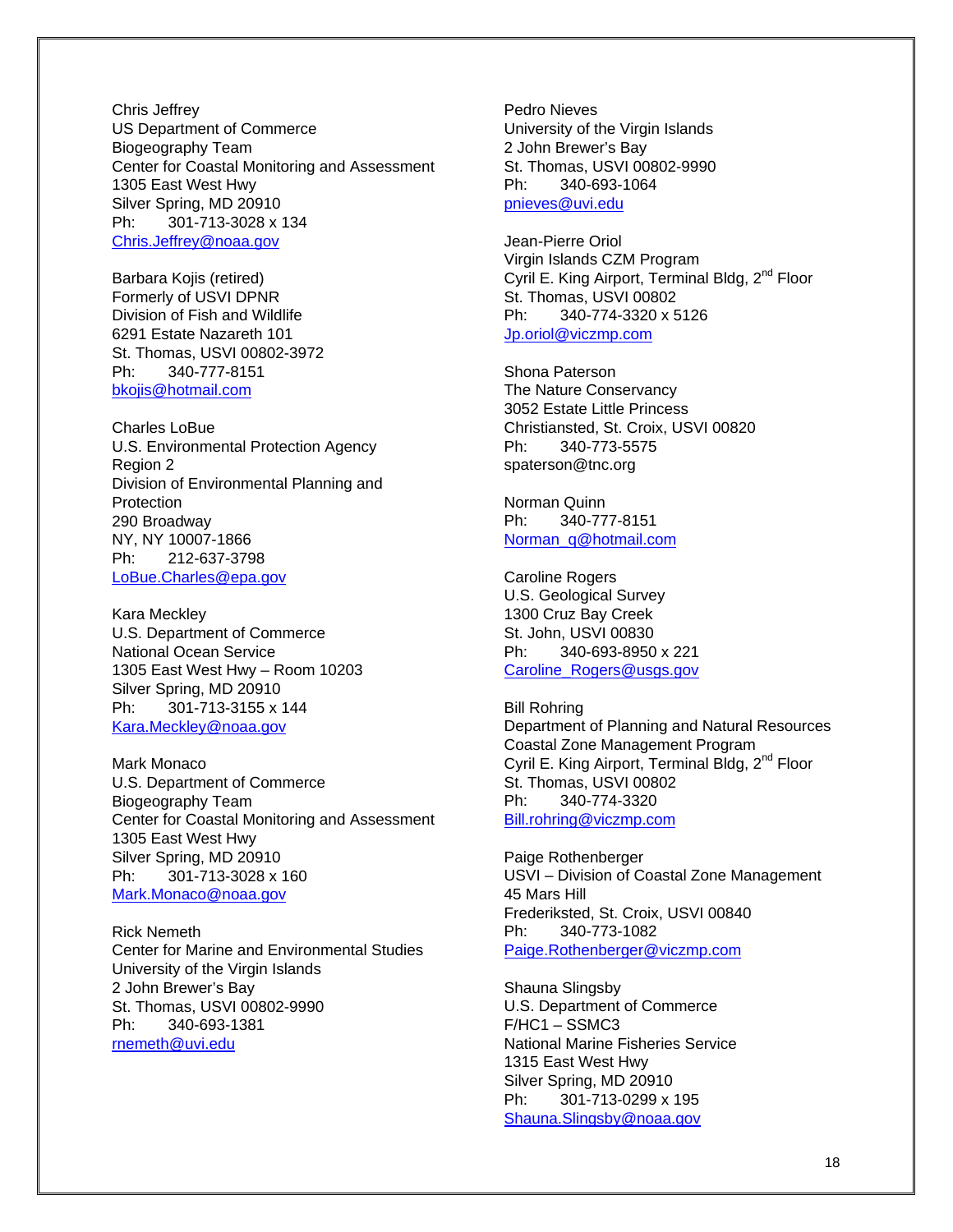Chris Jeffrey US Department of Commerce Biogeography Team Center for Coastal Monitoring and Assessment 1305 East West Hwy Silver Spring, MD 20910 Ph: 301-713-3028 x 134 [Chris.Jeffrey@noaa.gov](mailto:Chris.Jeffrey@noaa.gov)

Barbara Kojis (retired) Formerly of USVI DPNR Division of Fish and Wildlife 6291 Estate Nazareth 101 St. Thomas, USVI 00802-3972 Ph: 340-777-8151 [bkojis@hotmail.com](mailto:bkojis@hotmail.com)

Charles LoBue U.S. Environmental Protection Agency Region 2 Division of Environmental Planning and Protection 290 Broadway NY, NY 10007-1866 Ph: 212-637-3798 [LoBue.Charles@epa.gov](mailto:LoBue.Charles@epa.gov)

Kara Meckley U.S. Department of Commerce National Ocean Service 1305 East West Hwy – Room 10203 Silver Spring, MD 20910 Ph: 301-713-3155 x 144 [Kara.Meckley@noaa.gov](mailto:Kara.Meckley@noaa.gov)

Mark Monaco U.S. Department of Commerce Biogeography Team Center for Coastal Monitoring and Assessment 1305 East West Hwy Silver Spring, MD 20910 Ph: 301-713-3028 x 160 [Mark.Monaco@noaa.gov](mailto:Mark.Monaco@noaa.gov)

Rick Nemeth Center for Marine and Environmental Studies University of the Virgin Islands 2 John Brewer's Bay St. Thomas, USVI 00802-9990 Ph: 340-693-1381 [rnemeth@uvi.edu](mailto:rnemeth@uvi.edu)

Pedro Nieves University of the Virgin Islands 2 John Brewer's Bay St. Thomas, USVI 00802-9990 Ph: 340-693-1064 [pnieves@uvi.edu](mailto:pnieves@uvi.edu)

Jean-Pierre Oriol Virgin Islands CZM Program Cyril E. King Airport, Terminal Bldg, 2<sup>nd</sup> Floor St. Thomas, USVI 00802 Ph: 340-774-3320 x 5126 [Jp.oriol@viczmp.com](mailto:Jp.oriol@viczmp.com)

Shona Paterson The Nature Conservancy 3052 Estate Little Princess Christiansted, St. Croix, USVI 00820 Ph: 340-773-5575 spaterson@tnc.org

Norman Quinn Ph: 340-777-8151 [Norman\\_q@hotmail.com](mailto:Norman_q@hotmail.com)

Caroline Rogers U.S. Geological Survey 1300 Cruz Bay Creek St. John, USVI 00830 Ph: 340-693-8950 x 221 [Caroline\\_Rogers@usgs.gov](mailto:Caroline_Rogers@usgs.gov)

Bill Rohring Department of Planning and Natural Resources Coastal Zone Management Program Cyril E. King Airport, Terminal Bldg, 2<sup>nd</sup> Floor St. Thomas, USVI 00802 Ph: 340-774-3320 [Bill.rohring@viczmp.com](mailto:Bill.rohring@viczmp.com)

Paige Rothenberger USVI – Division of Coastal Zone Management 45 Mars Hill Frederiksted, St. Croix, USVI 00840 Ph: 340-773-1082 [Paige.Rothenberger@viczmp.com](mailto:Paige.Rothenberger@viczmp.com)

Shauna Slingsby U.S. Department of Commerce F/HC1 – SSMC3 National Marine Fisheries Service 1315 East West Hwy Silver Spring, MD 20910 Ph: 301-713-0299 x 195 [Shauna.Slingsby@noaa.gov](mailto:Shauna.Slingsby@noaa.gov)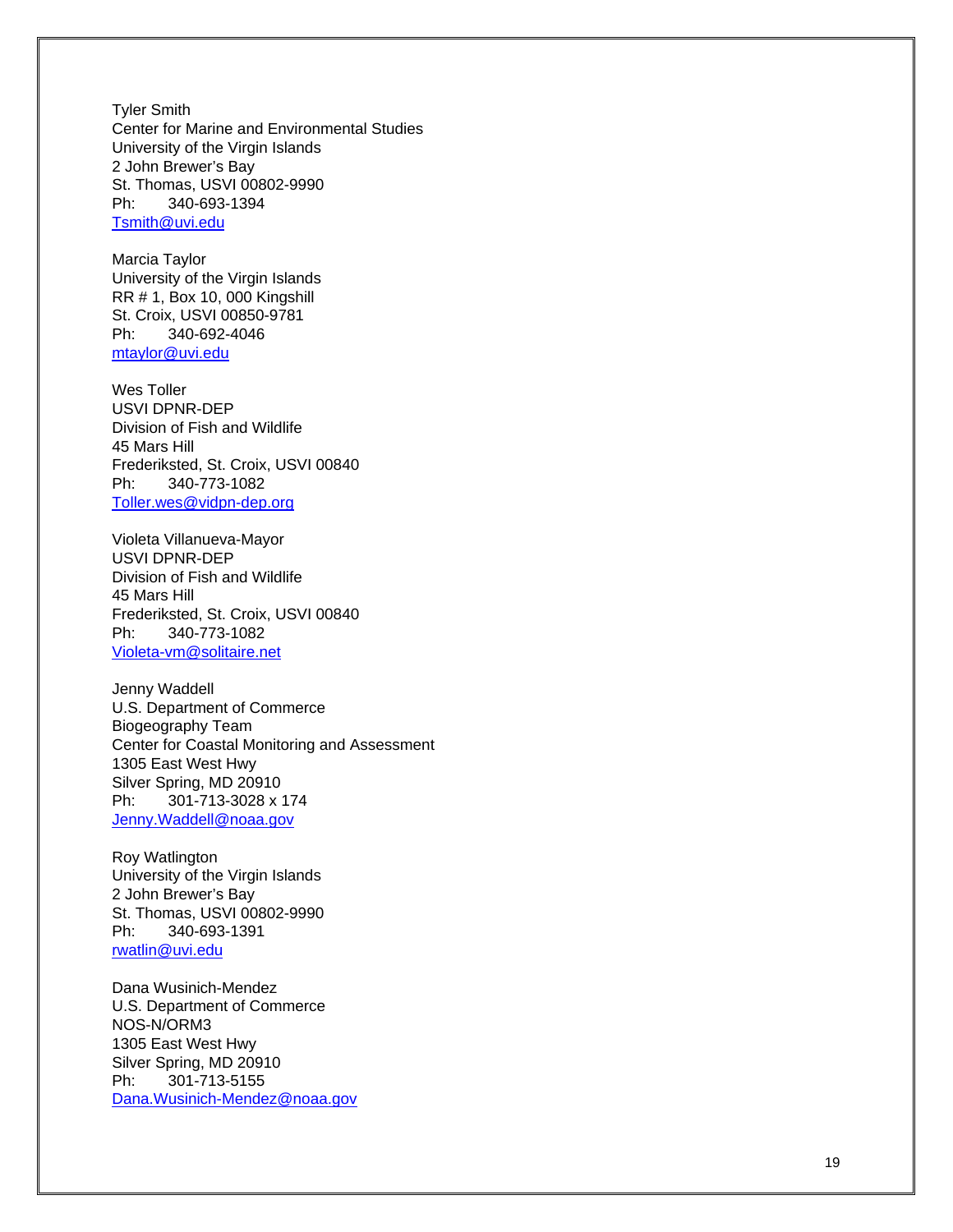Tyler Smith Center for Marine and Environmental Studies University of the Virgin Islands 2 John Brewer's Bay St. Thomas, USVI 00802-9990 Ph: 340-693-1394 [Tsmith@uvi.edu](mailto:Tsmith@uvi.edu)

Marcia Taylor University of the Virgin Islands RR # 1, Box 10, 000 Kingshill St. Croix, USVI 00850-9781 Ph: 340-692-4046 [mtaylor@uvi.edu](mailto:mtaylor@uvi.edu)

Wes Toller USVI DPNR-DEP Division of Fish and Wildlife 45 Mars Hill Frederiksted, St. Croix, USVI 00840 Ph: 340-773-1082 [Toller.wes@vidpn-dep.org](mailto:Toller.wes@vidpn-dep.org)

Violeta Villanueva-Mayor USVI DPNR-DEP Division of Fish and Wildlife 45 Mars Hill Frederiksted, St. Croix, USVI 00840 Ph: 340-773-1082 [Violeta-vm@solitaire.net](mailto:Violeta-vm@solitaire.net)

Jenny Waddell U.S. Department of Commerce Biogeography Team Center for Coastal Monitoring and Assessment 1305 East West Hwy Silver Spring, MD 20910 Ph: 301-713-3028 x 174 [Jenny.Waddell@noaa.gov](mailto:Jenny.Waddell@noaa.gov)

Roy Watlington University of the Virgin Islands 2 John Brewer's Bay St. Thomas, USVI 00802-9990 Ph: 340-693-1391 [rwatlin@uvi.edu](mailto:rwatlin@uvi.edu)

Dana Wusinich-Mendez U.S. Department of Commerce NOS-N/ORM3 1305 East West Hwy Silver Spring, MD 20910 Ph: 301-713-5155 [Dana.Wusinich-Mendez@noaa.gov](mailto:Dana.Wusinich-Mendez@noaa.gov)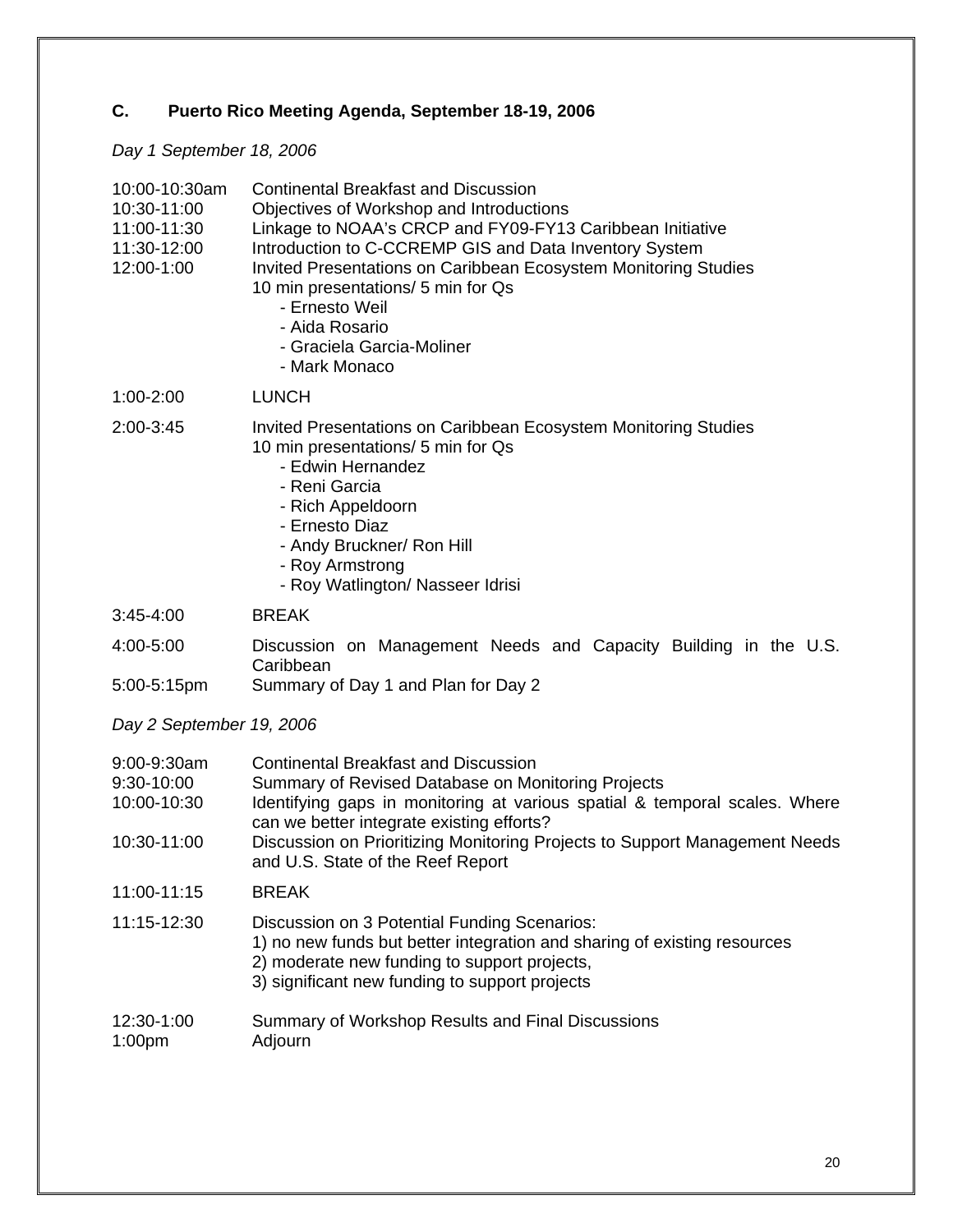# **C. Puerto Rico Meeting Agenda, September 18-19, 2006**

# *Day 1 September 18, 2006*

| 10:00-10:30am<br>10:30-11:00<br>11:00-11:30<br>11:30-12:00<br>12:00-1:00 | <b>Continental Breakfast and Discussion</b><br>Objectives of Workshop and Introductions<br>Linkage to NOAA's CRCP and FY09-FY13 Caribbean Initiative<br>Introduction to C-CCREMP GIS and Data Inventory System<br>Invited Presentations on Caribbean Ecosystem Monitoring Studies<br>10 min presentations/ 5 min for Qs<br>- Ernesto Weil<br>- Aida Rosario<br>- Graciela Garcia-Moliner<br>- Mark Monaco |
|--------------------------------------------------------------------------|-----------------------------------------------------------------------------------------------------------------------------------------------------------------------------------------------------------------------------------------------------------------------------------------------------------------------------------------------------------------------------------------------------------|
| $1:00 - 2:00$                                                            | <b>LUNCH</b>                                                                                                                                                                                                                                                                                                                                                                                              |
| 2:00-3:45                                                                | Invited Presentations on Caribbean Ecosystem Monitoring Studies<br>10 min presentations/ 5 min for Qs<br>- Edwin Hernandez<br>- Reni Garcia<br>- Rich Appeldoorn<br>- Ernesto Diaz<br>- Andy Bruckner/ Ron Hill<br>- Roy Armstrong<br>- Roy Watlington/ Nasseer Idrisi                                                                                                                                    |
| $3:45 - 4:00$                                                            | <b>BREAK</b>                                                                                                                                                                                                                                                                                                                                                                                              |
| 4:00-5:00<br>5:00-5:15pm                                                 | Discussion on Management Needs and Capacity Building in the U.S.<br>Caribbean<br>Summary of Day 1 and Plan for Day 2                                                                                                                                                                                                                                                                                      |
| Day 2 September 19, 2006                                                 |                                                                                                                                                                                                                                                                                                                                                                                                           |
| 9:00-9:30am<br>9:30-10:00<br>10:00-10:30<br>10:30-11:00                  | <b>Continental Breakfast and Discussion</b><br>Summary of Revised Database on Monitoring Projects<br>Identifying gaps in monitoring at various spatial & temporal scales. Where<br>can we better integrate existing efforts?<br>Discussion on Prioritizing Monitoring Projects to Support Management Needs<br>and U.S. State of the Reef Report                                                           |
| 11:00-11:15                                                              | <b>BREAK</b>                                                                                                                                                                                                                                                                                                                                                                                              |
| 11:15-12:30                                                              | Discussion on 3 Potential Funding Scenarios:<br>1) no new funds but better integration and sharing of existing resources<br>2) moderate new funding to support projects,<br>3) significant new funding to support projects                                                                                                                                                                                |
| 12:30-1:00<br>1:00 <sub>pm</sub>                                         | Summary of Workshop Results and Final Discussions<br>Adjourn                                                                                                                                                                                                                                                                                                                                              |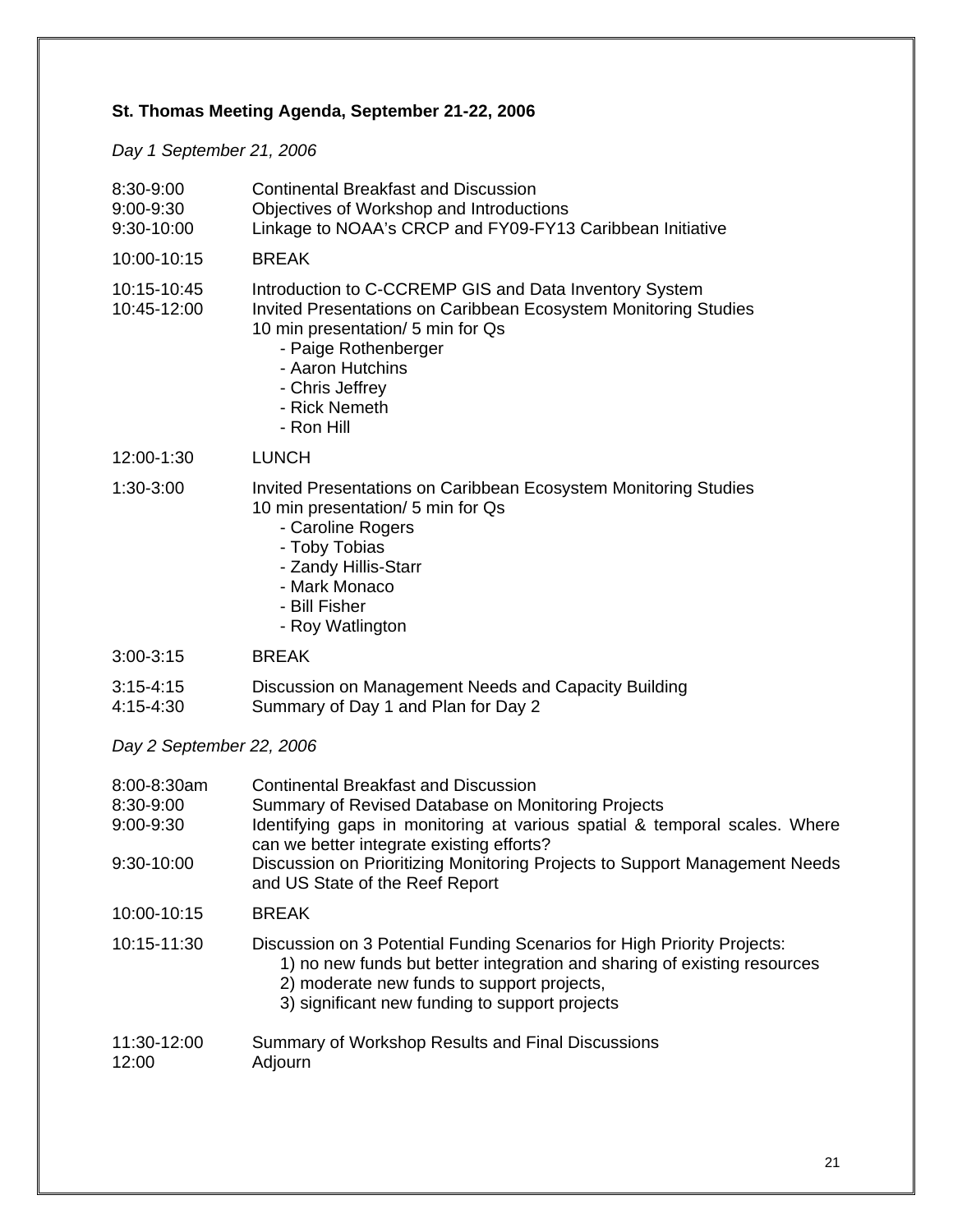# **St. Thomas Meeting Agenda, September 21-22, 2006**

*Day 1 September 21, 2006* 

| 8:30-9:00<br>9:00-9:30<br>9:30-10:00                | <b>Continental Breakfast and Discussion</b><br>Objectives of Workshop and Introductions<br>Linkage to NOAA's CRCP and FY09-FY13 Caribbean Initiative                                                                                                                                                                                          |
|-----------------------------------------------------|-----------------------------------------------------------------------------------------------------------------------------------------------------------------------------------------------------------------------------------------------------------------------------------------------------------------------------------------------|
| 10:00-10:15                                         | <b>BREAK</b>                                                                                                                                                                                                                                                                                                                                  |
| 10:15-10:45<br>10:45-12:00                          | Introduction to C-CCREMP GIS and Data Inventory System<br>Invited Presentations on Caribbean Ecosystem Monitoring Studies<br>10 min presentation/ 5 min for Qs<br>- Paige Rothenberger<br>- Aaron Hutchins<br>- Chris Jeffrey<br>- Rick Nemeth<br>- Ron Hill                                                                                  |
| 12:00-1:30                                          | <b>LUNCH</b>                                                                                                                                                                                                                                                                                                                                  |
| 1:30-3:00                                           | Invited Presentations on Caribbean Ecosystem Monitoring Studies<br>10 min presentation/ 5 min for Qs<br>- Caroline Rogers<br>- Toby Tobias<br>- Zandy Hillis-Starr<br>- Mark Monaco<br>- Bill Fisher<br>- Roy Watlington                                                                                                                      |
| 3:00-3:15                                           | <b>BREAK</b>                                                                                                                                                                                                                                                                                                                                  |
| $3:15 - 4:15$<br>4:15-4:30                          | Discussion on Management Needs and Capacity Building<br>Summary of Day 1 and Plan for Day 2                                                                                                                                                                                                                                                   |
| Day 2 September 22, 2006                            |                                                                                                                                                                                                                                                                                                                                               |
| 8:00-8:30am<br>8:30-9:00<br>9:00-9:30<br>9:30-10:00 | <b>Continental Breakfast and Discussion</b><br>Summary of Revised Database on Monitoring Projects<br>Identifying gaps in monitoring at various spatial & temporal scales. Where<br>can we better integrate existing efforts?<br>Discussion on Prioritizing Monitoring Projects to Support Management Needs<br>and US State of the Reef Report |
| 10:00-10:15                                         | <b>BREAK</b>                                                                                                                                                                                                                                                                                                                                  |
| 10:15-11:30                                         | Discussion on 3 Potential Funding Scenarios for High Priority Projects:<br>1) no new funds but better integration and sharing of existing resources<br>2) moderate new funds to support projects,<br>3) significant new funding to support projects                                                                                           |
| 11:30-12:00<br>12:00                                | Summary of Workshop Results and Final Discussions<br>Adjourn                                                                                                                                                                                                                                                                                  |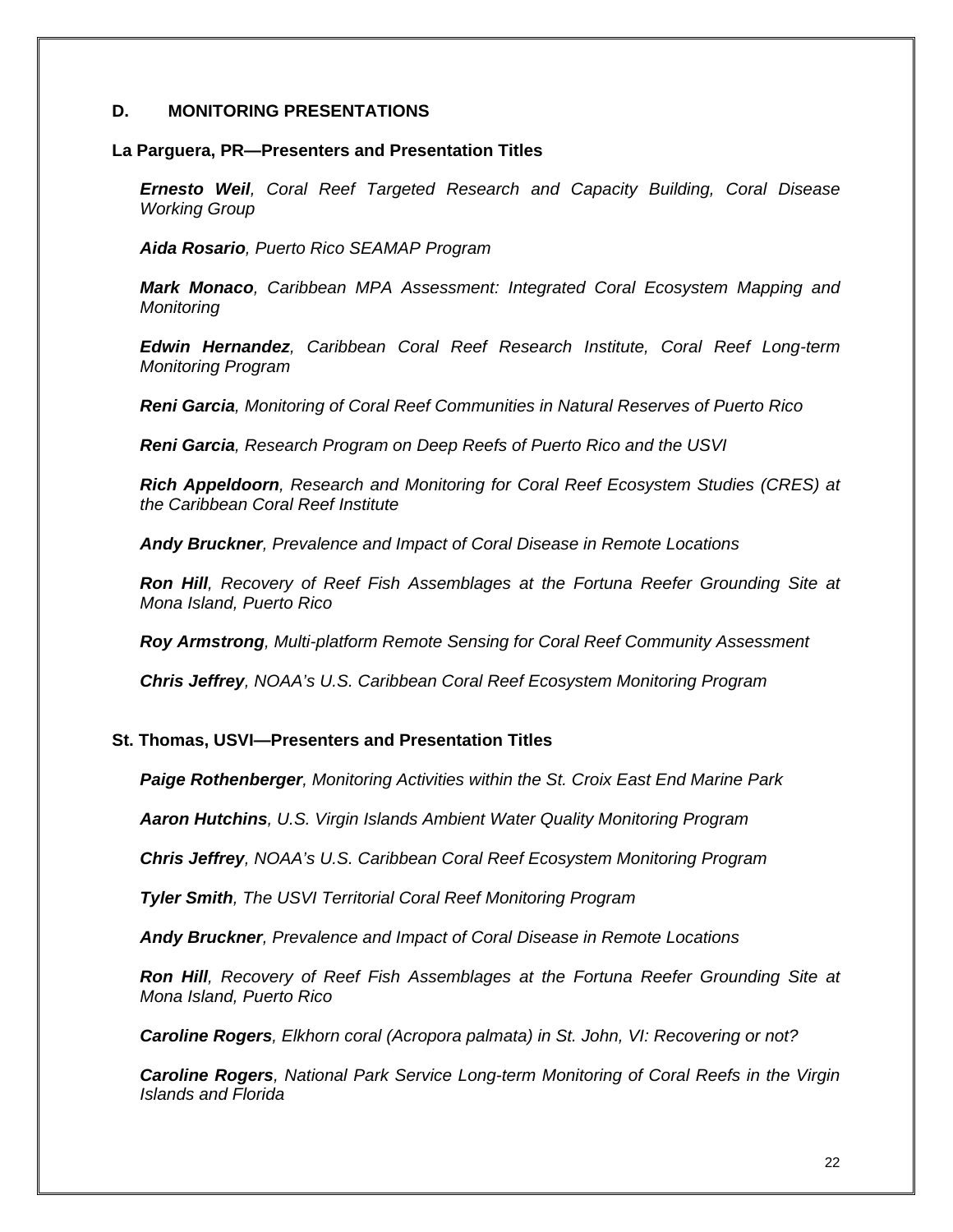# **D. MONITORING PRESENTATIONS**

### **La Parguera, PR—Presenters and Presentation Titles**

*Ernesto Weil, Coral Reef Targeted Research and Capacity Building, Coral Disease Working Group* 

*Aida Rosario, Puerto Rico SEAMAP Program* 

*Mark Monaco, Caribbean MPA Assessment: Integrated Coral Ecosystem Mapping and Monitoring* 

*Edwin Hernandez, Caribbean Coral Reef Research Institute, Coral Reef Long-term Monitoring Program* 

*Reni Garcia, Monitoring of Coral Reef Communities in Natural Reserves of Puerto Rico* 

*Reni Garcia, Research Program on Deep Reefs of Puerto Rico and the USVI* 

*Rich Appeldoorn, Research and Monitoring for Coral Reef Ecosystem Studies (CRES) at the Caribbean Coral Reef Institute* 

*Andy Bruckner, Prevalence and Impact of Coral Disease in Remote Locations* 

*Ron Hill, Recovery of Reef Fish Assemblages at the Fortuna Reefer Grounding Site at Mona Island, Puerto Rico* 

*Roy Armstrong, Multi-platform Remote Sensing for Coral Reef Community Assessment* 

*Chris Jeffrey, NOAA's U.S. Caribbean Coral Reef Ecosystem Monitoring Program* 

# **St. Thomas, USVI—Presenters and Presentation Titles**

*Paige Rothenberger, Monitoring Activities within the St. Croix East End Marine Park* 

*Aaron Hutchins, U.S. Virgin Islands Ambient Water Quality Monitoring Program* 

*Chris Jeffrey, NOAA's U.S. Caribbean Coral Reef Ecosystem Monitoring Program* 

*Tyler Smith, The USVI Territorial Coral Reef Monitoring Program* 

*Andy Bruckner, Prevalence and Impact of Coral Disease in Remote Locations* 

*Ron Hill, Recovery of Reef Fish Assemblages at the Fortuna Reefer Grounding Site at Mona Island, Puerto Rico* 

*Caroline Rogers, Elkhorn coral (Acropora palmata) in St. John, VI: Recovering or not?* 

*Caroline Rogers, National Park Service Long-term Monitoring of Coral Reefs in the Virgin Islands and Florida*